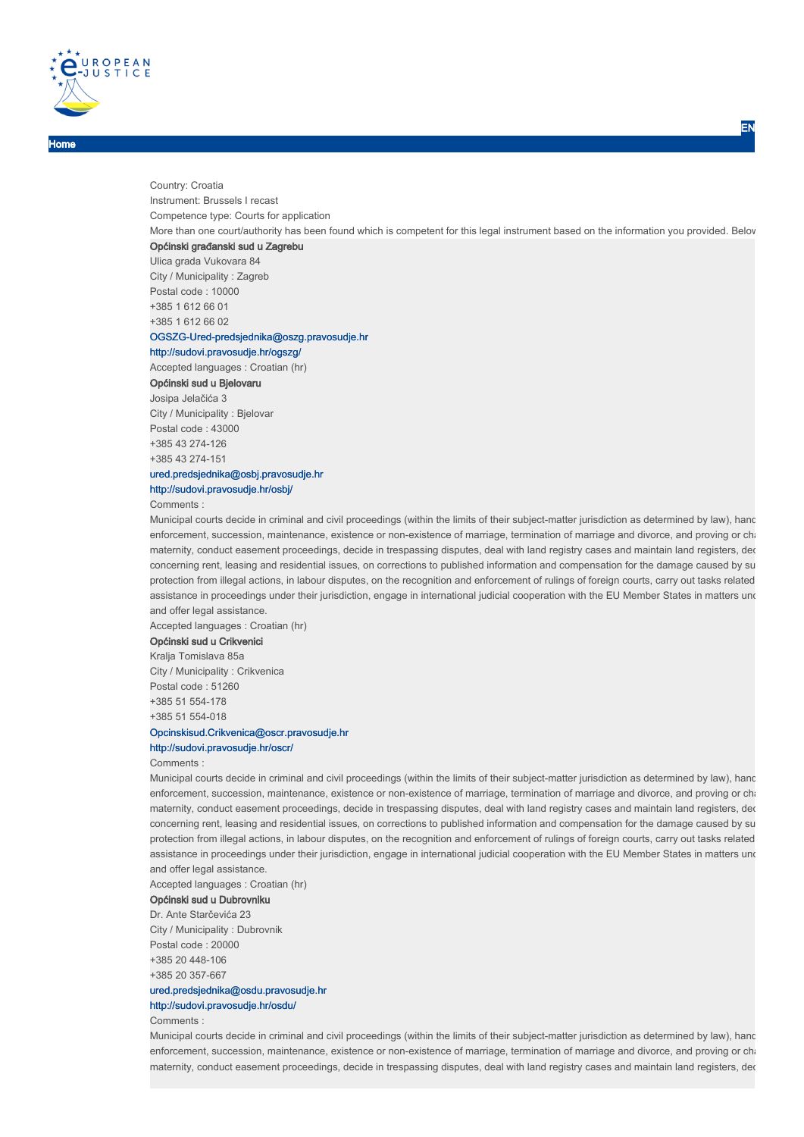

Home

Country: Croatia Instrument: Brussels I recast Competence type: Courts for application More than one court/authority has been found which is competent for this legal instrument based on the information you provided. Below Općinski građanski sud u Zagrebu Ulica grada Vukovara 84

City / Municipality : Zagreb Postal code : 10000 +385 1 612 66 01 +385 1 612 66 02 OGSZG-Ured-predsjednika@oszg.pravosudje.hr

#### http://sudovi.pravosudje.hr/ogszg/

Accepted languages : Croatian (hr)

#### Općinski sud u Bjelovaru

Josipa Jelačića 3

City / Municipality : Bjelovar Postal code : 43000 +385 43 274-126 +385 43 274-151

# ured.predsjednika@osbj.pravosudje.hr

## http://sudovi.pravosudje.hr/osbj/

Comments :

Municipal courts decide in criminal and civil proceedings (within the limits of their subject-matter jurisdiction as determined by law), hand enforcement, succession, maintenance, existence or non-existence of marriage, termination of marriage and divorce, and proving or charal maternity, conduct easement proceedings, decide in trespassing disputes, deal with land registry cases and maintain land registers, dec concerning rent, leasing and residential issues, on corrections to published information and compensation for the damage caused by su protection from illegal actions, in labour disputes, on the recognition and enforcement of rulings of foreign courts, carry out tasks related assistance in proceedings under their jurisdiction, engage in international judicial cooperation with the EU Member States in matters und and offer legal assistance.

Accepted languages : Croatian (hr)

## Općinski sud u Crikvenici

Kralja Tomislava 85a City / Municipality : Crikvenica Postal code : 51260 +385 51 554-178 +385 51 554-018

## Opcinskisud.Crikvenica@oscr.pravosudje.hr

#### http://sudovi.pravosudje.hr/oscr/

Comments :

Municipal courts decide in criminal and civil proceedings (within the limits of their subject-matter jurisdiction as determined by law), hand enforcement, succession, maintenance, existence or non-existence of marriage, termination of marriage and divorce, and proving or charallenging paternity or channel. maternity, conduct easement proceedings, decide in trespassing disputes, deal with land registry cases and maintain land registers, der concerning rent, leasing and residential issues, on corrections to published information and compensation for the damage caused by su protection from illegal actions, in labour disputes, on the recognition and enforcement of rulings of foreign courts, carry out tasks related assistance in proceedings under their jurisdiction, engage in international judicial cooperation with the EU Member States in matters und and offer legal assistance.

Accepted languages : Croatian (hr)

## Općinski sud u Dubrovniku

Dr. Ante Starčevića 23 City / Municipality : Dubrovnik Postal code : 20000 +385 20 448-106 +385 20 357-667

## ured.predsjednika@osdu.pravosudje.hr http://sudovi.pravosudje.hr/osdu/

Comments :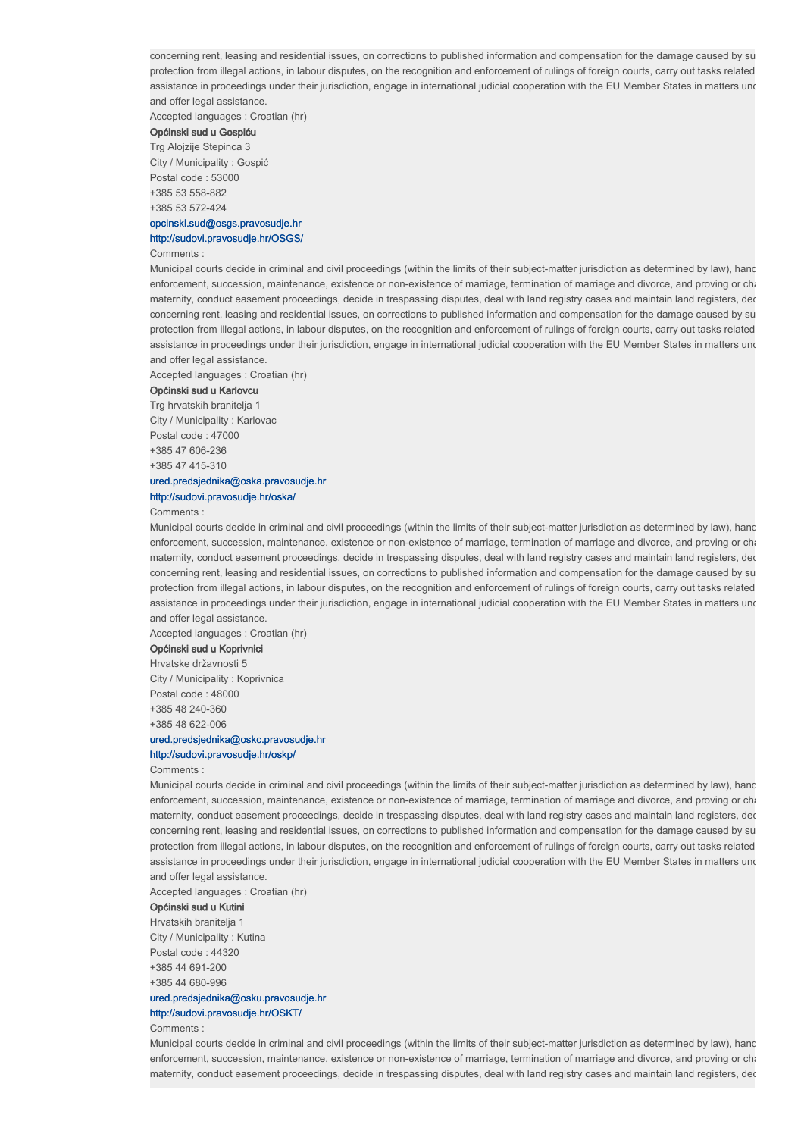Accepted languages : Croatian (hr)

# Općinski sud u Gospiću

Trg Alojzije Stepinca 3 City / Municipality : Gospić Postal code : 53000 +385 53 558-882 +385 53 572-424

## opcinski.sud@osgs.pravosudje.hr

## http://sudovi.pravosudje.hr/OSGS/

#### Comments :

Municipal courts decide in criminal and civil proceedings (within the limits of their subject-matter jurisdiction as determined by law), hand enforcement, succession, maintenance, existence or non-existence of marriage, termination of marriage and divorce, and proving or cha maternity, conduct easement proceedings, decide in trespassing disputes, deal with land registry cases and maintain land registers, ded concerning rent, leasing and residential issues, on corrections to published information and compensation for the damage caused by su protection from illegal actions, in labour disputes, on the recognition and enforcement of rulings of foreign courts, carry out tasks related assistance in proceedings under their jurisdiction, engage in international judicial cooperation with the EU Member States in matters und and offer legal assistance.

Accepted languages : Croatian (hr)

#### Općinski sud u Karlovcu

Trg hrvatskih branitelja 1 City / Municipality : Karlovac Postal code : 47000 +385 47 606-236 +385 47 415-310 ured.predsjednika@oska.pravosudje.hr

# http://sudovi.pravosudje.hr/oska/

Comments :

Municipal courts decide in criminal and civil proceedings (within the limits of their subject-matter jurisdiction as determined by law), hand enforcement, succession, maintenance, existence or non-existence of marriage, termination of marriage and divorce, and proving or chari maternity, conduct easement proceedings, decide in trespassing disputes, deal with land registry cases and maintain land registers, ded concerning rent, leasing and residential issues, on corrections to published information and compensation for the damage caused by su protection from illegal actions, in labour disputes, on the recognition and enforcement of rulings of foreign courts, carry out tasks related assistance in proceedings under their jurisdiction, engage in international judicial cooperation with the EU Member States in matters und and offer legal assistance.

Accepted languages : Croatian (hr)

#### Općinski sud u Koprivnici

Hrvatske državnosti 5 City / Municipality : Koprivnica Postal code : 48000 +385 48 240-360 +385 48 622-006 ured.predsjednika@oskc.pravosudje.hr

# http://sudovi.pravosudje.hr/oskp/

#### Comments :

Municipal courts decide in criminal and civil proceedings (within the limits of their subject-matter jurisdiction as determined by law), hand enforcement, succession, maintenance, existence or non-existence of marriage, termination of marriage and divorce, and proving or chari maternity, conduct easement proceedings, decide in trespassing disputes, deal with land registry cases and maintain land registers, dec concerning rent, leasing and residential issues, on corrections to published information and compensation for the damage caused by su protection from illegal actions, in labour disputes, on the recognition and enforcement of rulings of foreign courts, carry out tasks related assistance in proceedings under their jurisdiction, engage in international judicial cooperation with the EU Member States in matters und and offer legal assistance.

Accepted languages : Croatian (hr)

## Općinski sud u Kutini

Hrvatskih branitelja 1 City / Municipality : Kutina Postal code : 44320 +385 44 691-200 +385 44 680-996 ured.predsjednika@osku.pravosudje.hr

# http://sudovi.pravosudje.hr/OSKT/

Comments :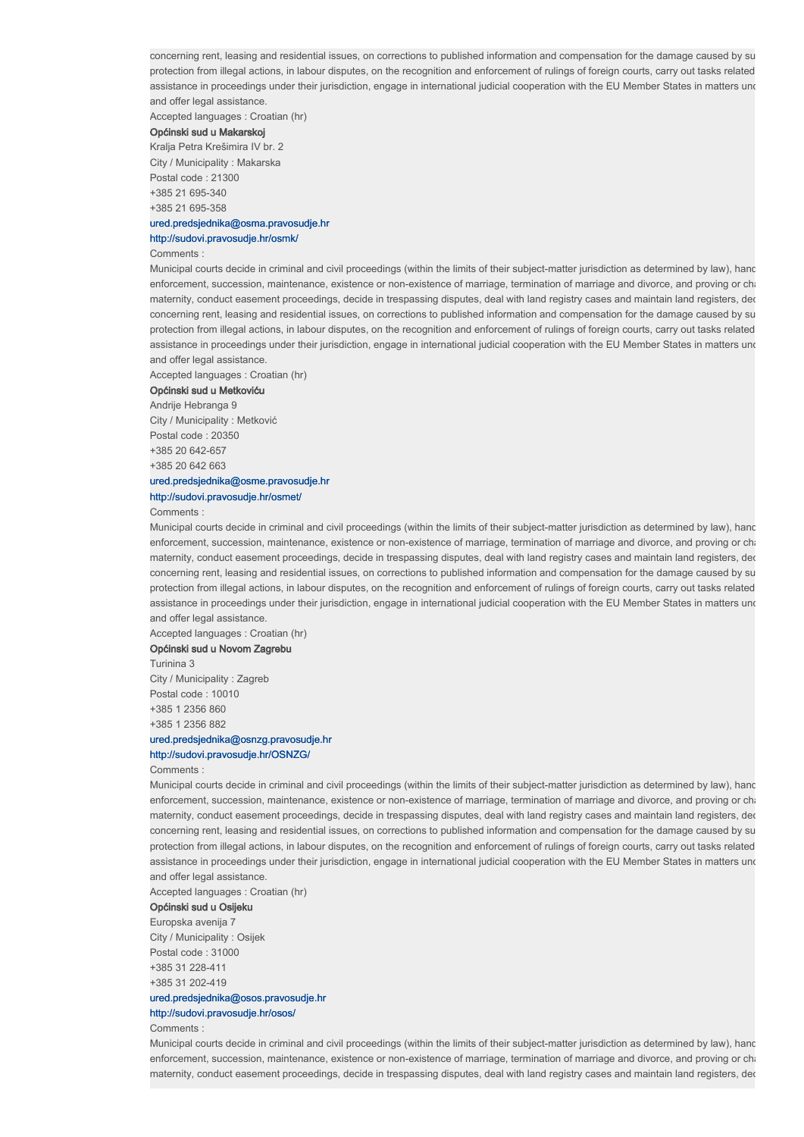Accepted languages : Croatian (hr)

## Općinski sud u Makarskoj

Kralja Petra Krešimira IV br. 2 City / Municipality : Makarska Postal code : 21300 +385 21 695-340 +385 21 695-358 ured.predsjednika@osma.pravosudje.hr

## http://sudovi.pravosudje.hr/osmk/

#### Comments :

Municipal courts decide in criminal and civil proceedings (within the limits of their subject-matter jurisdiction as determined by law), hand enforcement, succession, maintenance, existence or non-existence of marriage, termination of marriage and divorce, and proving or cha maternity, conduct easement proceedings, decide in trespassing disputes, deal with land registry cases and maintain land registers, ded concerning rent, leasing and residential issues, on corrections to published information and compensation for the damage caused by su protection from illegal actions, in labour disputes, on the recognition and enforcement of rulings of foreign courts, carry out tasks related assistance in proceedings under their jurisdiction, engage in international judicial cooperation with the EU Member States in matters und and offer legal assistance.

Accepted languages : Croatian (hr)

#### Općinski sud u Metkoviću

Andrije Hebranga 9 City / Municipality : Metković Postal code : 20350 +385 20 642-657 +385 20 642 663

# ured.predsjednika@osme.pravosudje.hr

# http://sudovi.pravosudje.hr/osmet/

Comments :

Municipal courts decide in criminal and civil proceedings (within the limits of their subject-matter jurisdiction as determined by law), hand enforcement, succession, maintenance, existence or non-existence of marriage, termination of marriage and divorce, and proving or chari maternity, conduct easement proceedings, decide in trespassing disputes, deal with land registry cases and maintain land registers, ded concerning rent, leasing and residential issues, on corrections to published information and compensation for the damage caused by su protection from illegal actions, in labour disputes, on the recognition and enforcement of rulings of foreign courts, carry out tasks related assistance in proceedings under their jurisdiction, engage in international judicial cooperation with the EU Member States in matters und and offer legal assistance.

Accepted languages : Croatian (hr)

## Općinski sud u Novom Zagrebu

Turinina 3 City / Municipality : Zagreb Postal code : 10010 +385 1 2356 860 +385 1 2356 882 ured.predsjednika@osnzg.pravosudje.hr

#### http://sudovi.pravosudje.hr/OSNZG/

#### Comments :

Municipal courts decide in criminal and civil proceedings (within the limits of their subject-matter jurisdiction as determined by law), hand enforcement, succession, maintenance, existence or non-existence of marriage, termination of marriage and divorce, and proving or chari maternity, conduct easement proceedings, decide in trespassing disputes, deal with land registry cases and maintain land registers, dec concerning rent, leasing and residential issues, on corrections to published information and compensation for the damage caused by su protection from illegal actions, in labour disputes, on the recognition and enforcement of rulings of foreign courts, carry out tasks related assistance in proceedings under their jurisdiction, engage in international judicial cooperation with the EU Member States in matters und and offer legal assistance.

Accepted languages : Croatian (hr)

## Općinski sud u Osijeku

Europska avenija 7 City / Municipality : Osijek Postal code : 31000 +385 31 228-411 +385 31 202-419 ured.predsjednika@osos.pravosudje.hr

# http://sudovi.pravosudje.hr/osos/

Comments :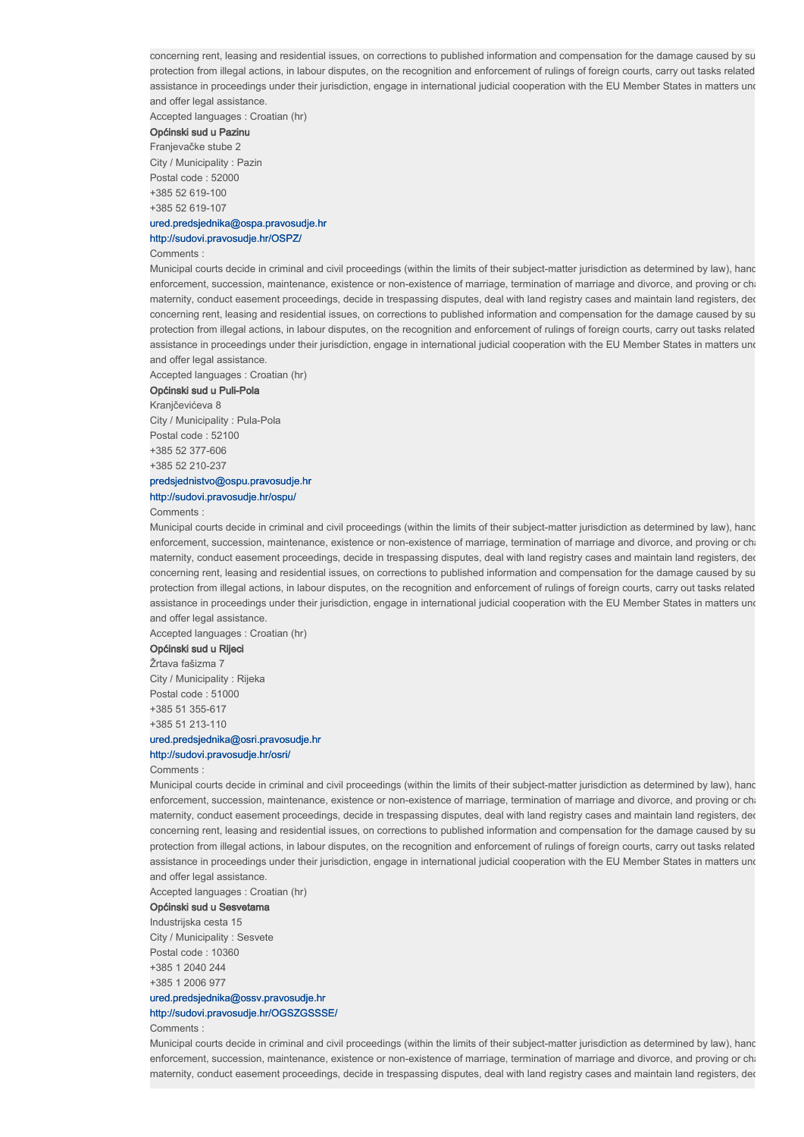Accepted languages : Croatian (hr)

# Općinski sud u Pazinu

Franjevačke stube 2 City / Municipality : Pazin Postal code : 52000 +385 52 619-100 +385 52 619-107

## ured.predsjednika@ospa.pravosudje.hr

#### http://sudovi.pravosudje.hr/OSPZ/

#### Comments :

Municipal courts decide in criminal and civil proceedings (within the limits of their subject-matter jurisdiction as determined by law), hand enforcement, succession, maintenance, existence or non-existence of marriage, termination of marriage and divorce, and proving or cha maternity, conduct easement proceedings, decide in trespassing disputes, deal with land registry cases and maintain land registers, ded concerning rent, leasing and residential issues, on corrections to published information and compensation for the damage caused by su protection from illegal actions, in labour disputes, on the recognition and enforcement of rulings of foreign courts, carry out tasks related assistance in proceedings under their jurisdiction, engage in international judicial cooperation with the EU Member States in matters und and offer legal assistance.

Accepted languages : Croatian (hr)

#### Općinski sud u Puli-Pola

Kranjčevićeva 8 City / Municipality : Pula-Pola Postal code : 52100 +385 52 377-606 +385 52 210-237 predsjednistvo@ospu.pravosudje.hr

# http://sudovi.pravosudje.hr/ospu/

Comments :

Municipal courts decide in criminal and civil proceedings (within the limits of their subject-matter jurisdiction as determined by law), hand enforcement, succession, maintenance, existence or non-existence of marriage, termination of marriage and divorce, and proving or chari maternity, conduct easement proceedings, decide in trespassing disputes, deal with land registry cases and maintain land registers, ded concerning rent, leasing and residential issues, on corrections to published information and compensation for the damage caused by su protection from illegal actions, in labour disputes, on the recognition and enforcement of rulings of foreign courts, carry out tasks related assistance in proceedings under their jurisdiction, engage in international judicial cooperation with the EU Member States in matters und and offer legal assistance.

Accepted languages : Croatian (hr)

#### Općinski sud u Rijeci

Žrtava fašizma 7 City / Municipality : Rijeka Postal code : 51000 +385 51 355-617 +385 51 213-110 ured.predsjednika@osri.pravosudje.hr

# http://sudovi.pravosudje.hr/osri/

Comments :

Municipal courts decide in criminal and civil proceedings (within the limits of their subject-matter jurisdiction as determined by law), hand enforcement, succession, maintenance, existence or non-existence of marriage, termination of marriage and divorce, and proving or chari maternity, conduct easement proceedings, decide in trespassing disputes, deal with land registry cases and maintain land registers, dec concerning rent, leasing and residential issues, on corrections to published information and compensation for the damage caused by su protection from illegal actions, in labour disputes, on the recognition and enforcement of rulings of foreign courts, carry out tasks related assistance in proceedings under their jurisdiction, engage in international judicial cooperation with the EU Member States in matters und and offer legal assistance.

Accepted languages : Croatian (hr)

## Općinski sud u Sesvetama

Industrijska cesta 15 City / Municipality : Sesvete Postal code : 10360 +385 1 2040 244 +385 1 2006 977

## ured.predsjednika@ossv.pravosudje.hr http://sudovi.pravosudje.hr/OGSZGSSSE/

Comments :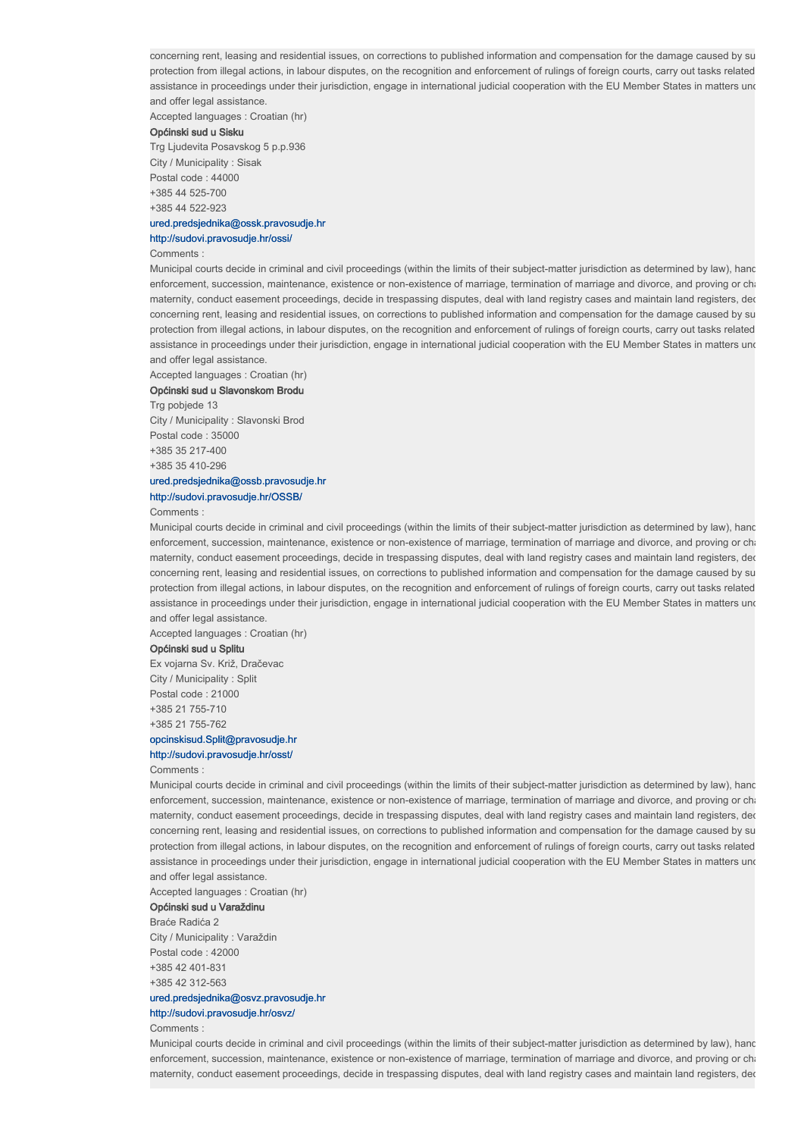Accepted languages : Croatian (hr)

## Općinski sud u Sisku

Trg Ljudevita Posavskog 5 p.p.936 City / Municipality : Sisak Postal code : 44000 +385 44 525-700 +385 44 522-923

## ured.predsjednika@ossk.pravosudje.hr

#### http://sudovi.pravosudje.hr/ossi/

#### Comments :

Municipal courts decide in criminal and civil proceedings (within the limits of their subject-matter jurisdiction as determined by law), hand enforcement, succession, maintenance, existence or non-existence of marriage, termination of marriage and divorce, and proving or cha maternity, conduct easement proceedings, decide in trespassing disputes, deal with land registry cases and maintain land registers, ded concerning rent, leasing and residential issues, on corrections to published information and compensation for the damage caused by su protection from illegal actions, in labour disputes, on the recognition and enforcement of rulings of foreign courts, carry out tasks related assistance in proceedings under their jurisdiction, engage in international judicial cooperation with the EU Member States in matters und and offer legal assistance.

Accepted languages : Croatian (hr)

#### Općinski sud u Slavonskom Brodu

Trg pobjede 13 City / Municipality : Slavonski Brod Postal code : 35000 +385 35 217-400 +385 35 410-296 ured.predsjednika@ossb.pravosudje.hr

# http://sudovi.pravosudje.hr/OSSB/

Comments :

Municipal courts decide in criminal and civil proceedings (within the limits of their subject-matter jurisdiction as determined by law), hand enforcement, succession, maintenance, existence or non-existence of marriage, termination of marriage and divorce, and proving or chari maternity, conduct easement proceedings, decide in trespassing disputes, deal with land registry cases and maintain land registers, ded concerning rent, leasing and residential issues, on corrections to published information and compensation for the damage caused by su protection from illegal actions, in labour disputes, on the recognition and enforcement of rulings of foreign courts, carry out tasks related assistance in proceedings under their jurisdiction, engage in international judicial cooperation with the EU Member States in matters und and offer legal assistance.

Accepted languages : Croatian (hr)

#### Općinski sud u Splitu

Ex vojarna Sv. Križ, Dračevac City / Municipality : Split Postal code : 21000 +385 21 755-710 +385 21 755-762 opcinskisud.Split@pravosudje.hr

# http://sudovi.pravosudje.hr/osst/

## Comments :

Municipal courts decide in criminal and civil proceedings (within the limits of their subject-matter jurisdiction as determined by law), hand enforcement, succession, maintenance, existence or non-existence of marriage, termination of marriage and divorce, and proving or chari maternity, conduct easement proceedings, decide in trespassing disputes, deal with land registry cases and maintain land registers, dec concerning rent, leasing and residential issues, on corrections to published information and compensation for the damage caused by su protection from illegal actions, in labour disputes, on the recognition and enforcement of rulings of foreign courts, carry out tasks related assistance in proceedings under their jurisdiction, engage in international judicial cooperation with the EU Member States in matters und and offer legal assistance.

Accepted languages : Croatian (hr)

## Općinski sud u Varaždinu

Braće Radića 2 City / Municipality : Varaždin Postal code : 42000 +385 42 401-831 +385 42 312-563 ured.predsjednika@osvz.pravosudje.hr

# http://sudovi.pravosudje.hr/osvz/

Comments :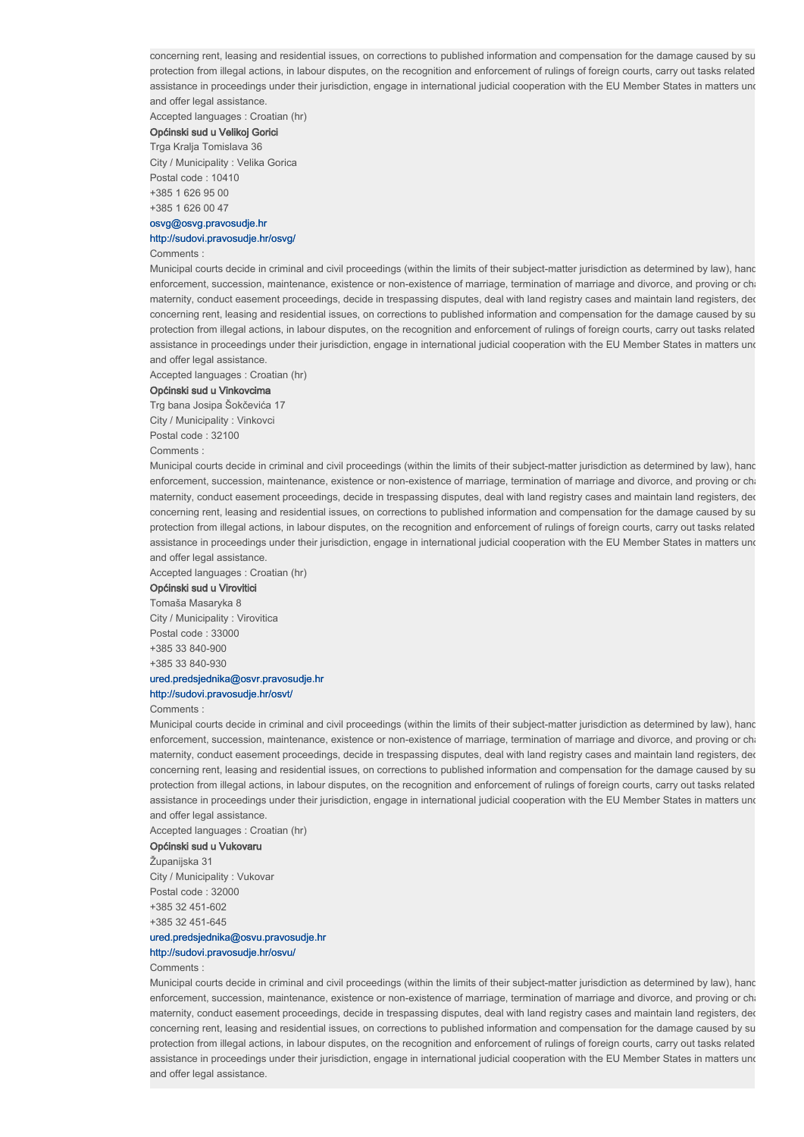Accepted languages : Croatian (hr)

# Općinski sud u Velikoj Gorici

Trga Kralja Tomislava 36 City / Municipality : Velika Gorica Postal code : 10410 +385 1 626 95 00 +385 1 626 00 47

#### osvg@osvg.pravosudje.hr http://sudovi.pravosudje.hr/osvg/

#### Comments :

Municipal courts decide in criminal and civil proceedings (within the limits of their subject-matter jurisdiction as determined by law), hand enforcement, succession, maintenance, existence or non-existence of marriage, termination of marriage and divorce, and proving or cha maternity, conduct easement proceedings, decide in trespassing disputes, deal with land registry cases and maintain land registers, ded concerning rent, leasing and residential issues, on corrections to published information and compensation for the damage caused by su protection from illegal actions, in labour disputes, on the recognition and enforcement of rulings of foreign courts, carry out tasks related assistance in proceedings under their jurisdiction, engage in international judicial cooperation with the EU Member States in matters und and offer legal assistance.

Accepted languages : Croatian (hr)

#### Općinski sud u Vinkovcima

Trg bana Josipa Šokčevića 17 City / Municipality : Vinkovci

Postal code : 32100

Comments :

Municipal courts decide in criminal and civil proceedings (within the limits of their subject-matter jurisdiction as determined by law), hand enforcement, succession, maintenance, existence or non-existence of marriage, termination of marriage and divorce, and proving or cha maternity, conduct easement proceedings, decide in trespassing disputes, deal with land registry cases and maintain land registers, ded concerning rent, leasing and residential issues, on corrections to published information and compensation for the damage caused by su protection from illegal actions, in labour disputes, on the recognition and enforcement of rulings of foreign courts, carry out tasks related assistance in proceedings under their jurisdiction, engage in international judicial cooperation with the EU Member States in matters und and offer legal assistance.

Accepted languages : Croatian (hr)

# Općinski sud u Virovitici

Tomaša Masaryka 8 City / Municipality : Virovitica Postal code : 33000 +385 33 840-900 +385 33 840-930

## ured.predsjednika@osvr.pravosudje.hr

## http://sudovi.pravosudje.hr/osvt/

Comments :

Municipal courts decide in criminal and civil proceedings (within the limits of their subject-matter jurisdiction as determined by law), hand enforcement, succession, maintenance, existence or non-existence of marriage, termination of marriage and divorce, and proving or chari maternity, conduct easement proceedings, decide in trespassing disputes, deal with land registry cases and maintain land registers, dec concerning rent, leasing and residential issues, on corrections to published information and compensation for the damage caused by su protection from illegal actions, in labour disputes, on the recognition and enforcement of rulings of foreign courts, carry out tasks related assistance in proceedings under their jurisdiction, engage in international judicial cooperation with the EU Member States in matters und and offer legal assistance.

Accepted languages : Croatian (hr)

## Općinski sud u Vukovaru

Županijska 31 City / Municipality : Vukovar Postal code : 32000 +385 32 451-602 +385 32 451-645

# ured.predsjednika@osvu.pravosudje.hr

## http://sudovi.pravosudje.hr/osvu/

### Comments :

Municipal courts decide in criminal and civil proceedings (within the limits of their subject-matter jurisdiction as determined by law), hand enforcement, succession, maintenance, existence or non-existence of marriage, termination of marriage and divorce, and proving or cha maternity, conduct easement proceedings, decide in trespassing disputes, deal with land registry cases and maintain land registers, der concerning rent, leasing and residential issues, on corrections to published information and compensation for the damage caused by su protection from illegal actions, in labour disputes, on the recognition and enforcement of rulings of foreign courts, carry out tasks related assistance in proceedings under their jurisdiction, engage in international judicial cooperation with the EU Member States in matters und and offer legal assistance.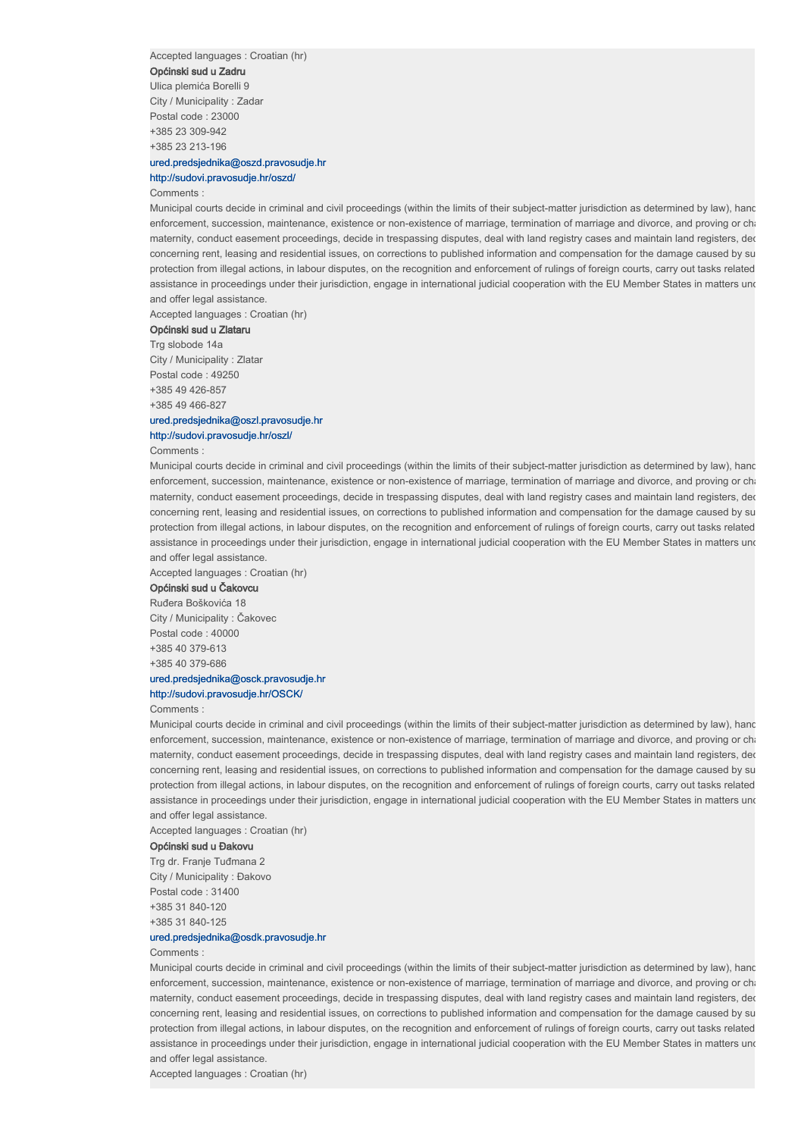Accepted languages : Croatian (hr)

Općinski sud u Zadru

Ulica plemića Borelli 9 City / Municipality : Zadar Postal code : 23000 +385 23 309-942 +385 23 213-196

## ured.predsjednika@oszd.pravosudje.hr http://sudovi.pravosudje.hr/oszd/

Comments :

Municipal courts decide in criminal and civil proceedings (within the limits of their subject-matter jurisdiction as determined by law), hand enforcement, succession, maintenance, existence or non-existence of marriage, termination of marriage and divorce, and proving or cha maternity, conduct easement proceedings, decide in trespassing disputes, deal with land registry cases and maintain land registers, der concerning rent, leasing and residential issues, on corrections to published information and compensation for the damage caused by su protection from illegal actions, in labour disputes, on the recognition and enforcement of rulings of foreign courts, carry out tasks related assistance in proceedings under their jurisdiction, engage in international judicial cooperation with the EU Member States in matters und and offer legal assistance.

Accepted languages : Croatian (hr)

Općinski sud u Zlataru Trg slobode 14a

City / Municipality : Zlatar Postal code : 49250 +385 49 426-857 +385 49 466-827

## ured.predsjednika@oszl.pravosudje.hr http://sudovi.pravosudje.hr/oszl/

Comments :

Municipal courts decide in criminal and civil proceedings (within the limits of their subject-matter jurisdiction as determined by law), hand enforcement, succession, maintenance, existence or non-existence of marriage, termination of marriage and divorce, and proving or cha maternity, conduct easement proceedings, decide in trespassing disputes, deal with land registry cases and maintain land registers, dec concerning rent, leasing and residential issues, on corrections to published information and compensation for the damage caused by su protection from illegal actions, in labour disputes, on the recognition and enforcement of rulings of foreign courts, carry out tasks related assistance in proceedings under their jurisdiction, engage in international judicial cooperation with the EU Member States in matters und and offer legal assistance.

Accepted languages : Croatian (hr)

## Općinski sud u Čakovcu

Ruđera Boškovića 18 City / Municipality : Čakovec Postal code : 40000 +385 40 379-613 +385 40 379-686

# ured.predsjednika@osck.pravosudje.hr

http://sudovi.pravosudje.hr/OSCK/

Comments :

Municipal courts decide in criminal and civil proceedings (within the limits of their subject-matter jurisdiction as determined by law), hand enforcement, succession, maintenance, existence or non-existence of marriage, termination of marriage and divorce, and proving or chari maternity, conduct easement proceedings, decide in trespassing disputes, deal with land registry cases and maintain land registers, dec concerning rent, leasing and residential issues, on corrections to published information and compensation for the damage caused by su protection from illegal actions, in labour disputes, on the recognition and enforcement of rulings of foreign courts, carry out tasks related assistance in proceedings under their jurisdiction, engage in international judicial cooperation with the EU Member States in matters und and offer legal assistance.

Accepted languages : Croatian (hr)

## Općinski sud u Đakovu

Trg dr. Franje Tuđmana 2 City / Municipality : Đakovo Postal code : 31400 +385 31 840-120 +385 31 840-125

## ured.predsjednika@osdk.pravosudje.hr

Comments :

Municipal courts decide in criminal and civil proceedings (within the limits of their subject-matter jurisdiction as determined by law), hand enforcement, succession, maintenance, existence or non-existence of marriage, termination of marriage and divorce, and proving or cha maternity, conduct easement proceedings, decide in trespassing disputes, deal with land registry cases and maintain land registers, der concerning rent, leasing and residential issues, on corrections to published information and compensation for the damage caused by su protection from illegal actions, in labour disputes, on the recognition and enforcement of rulings of foreign courts, carry out tasks related assistance in proceedings under their jurisdiction, engage in international judicial cooperation with the EU Member States in matters und and offer legal assistance.

Accepted languages : Croatian (hr)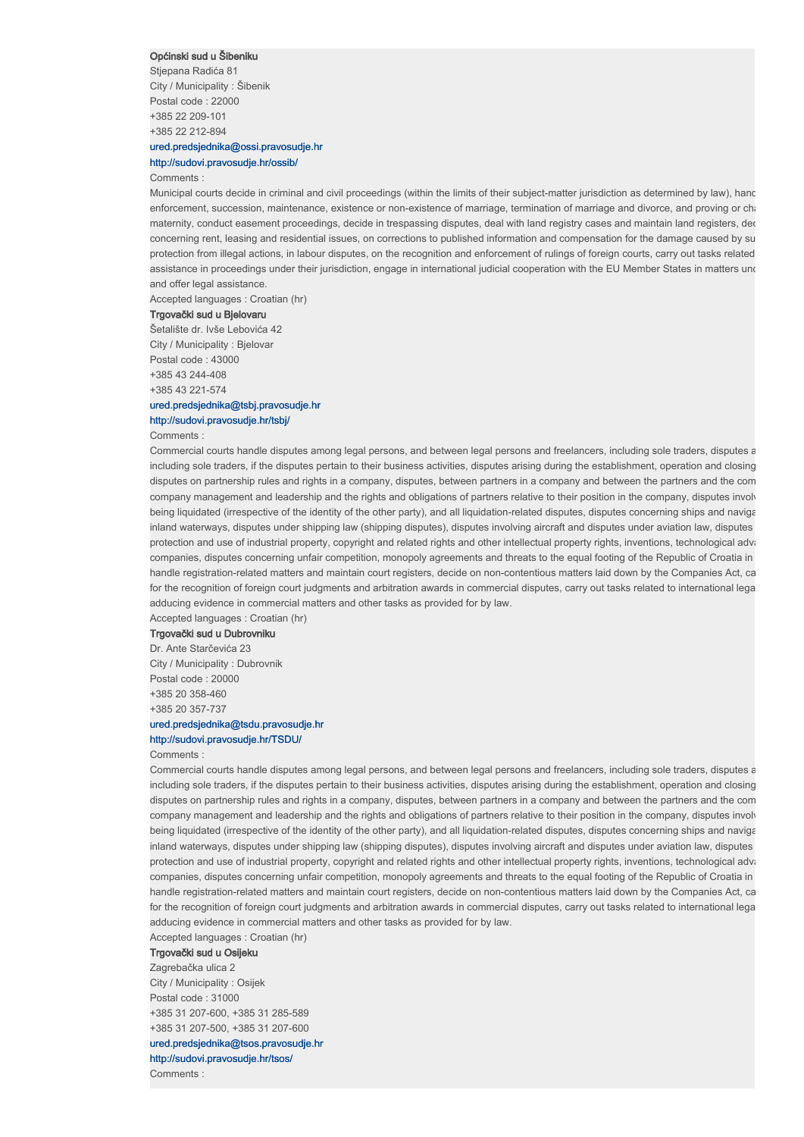#### Općinski sud u Šibeniku

Stjepana Radića 81 City / Municipality : Šibenik Postal code : 22000 +385 22 209-101 +385 22 212-894

## ured.predsjednika@ossi.pravosudje.hr http://sudovi.pravosudje.hr/ossib/

Comments :

Municipal courts decide in criminal and civil proceedings (within the limits of their subject-matter jurisdiction as determined by law), hand enforcement, succession, maintenance, existence or non-existence of marriage, termination of marriage and divorce, and proving or cha maternity, conduct easement proceedings, decide in trespassing disputes, deal with land registry cases and maintain land registers, der concerning rent, leasing and residential issues, on corrections to published information and compensation for the damage caused by su protection from illegal actions, in labour disputes, on the recognition and enforcement of rulings of foreign courts, carry out tasks related assistance in proceedings under their jurisdiction, engage in international judicial cooperation with the EU Member States in matters und and offer legal assistance

Accepted languages : Croatian (hr)

#### Trgovački sud u Bjelovaru

Šetalište dr. Ivše Lebovića 42 City / Municipality : Bjelovar Postal code : 43000 +385 43 244-408 +385 43 221-574

## ured.predsjednika@tsbj.pravosudje.hr http://sudovi.pravosudje.hr/tsbj/

#### Comments :

Commercial courts handle disputes among legal persons, and between legal persons and freelancers, including sole traders, disputes a including sole traders, if the disputes pertain to their business activities, disputes arising during the establishment, operation and closing disputes on partnership rules and rights in a company, disputes, between partners in a company and between the partners and the com company management and leadership and the rights and obligations of partners relative to their position in the company, disputes involving being liquidated (irrespective of the identity of the other party), and all liquidation-related disputes, disputes concerning ships and navigation at any sea and navigation at any sea and in sea and in sea and in sea and i inland waterways, disputes under shipping law (shipping disputes), disputes involving aircraft and disputes under aviation law, disputes protection and use of industrial property, copyright and related rights and other intellectual property rights, inventions, technological advancements and vanishing and vanishing and vanishing and vanishing and vanishing a companies, disputes concerning unfair competition, monopoly agreements and threats to the equal footing of the Republic of Croatia in handle registration-related matters and maintain court registers, decide on non-contentious matters laid down by the Companies Act, ca for the recognition of foreign court judgments and arbitration awards in commercial disputes, carry out tasks related to international legal adducing evidence in commercial matters and other tasks as provided for by law.

Accepted languages : Croatian (hr)

## Trgovački sud u Dubrovniku

Dr. Ante Starčevića 23 City / Municipality : Dubrovnik Postal code : 20000 +385 20 358-460 +385 20 357-737

## ured.predsjednika@tsdu.pravosudje.hr

## http://sudovi.pravosudje.hr/TSDU/

### Comments :

Commercial courts handle disputes among legal persons, and between legal persons and freelancers, including sole traders, disputes a including sole traders, if the disputes pertain to their business activities, disputes arising during the establishment, operation and closing disputes on partnership rules and rights in a company, disputes, between partners in a company and between the partners and the com company management and leadership and the rights and obligations of partners relative to their position in the company, disputes involved being liquidated (irrespective of the identity of the other party), and all liquidation-related disputes, disputes concerning ships and navigation at any sea and navigation at sea and navigation at any sea and in sea and i inland waterways, disputes under shipping law (shipping disputes), disputes involving aircraft and disputes under aviation law, disputes protection and use of industrial property, copyright and related rights and other intellectual property rights, inventions, technological advi companies, disputes concerning unfair competition, monopoly agreements and threats to the equal footing of the Republic of Croatia in handle registration-related matters and maintain court registers, decide on non-contentious matters laid down by the Companies Act, car for the recognition of foreign court judgments and arbitration awards in commercial disputes, carry out tasks related to international lega adducing evidence in commercial matters and other tasks as provided for by law.

Accepted languages : Croatian (hr)

# Trgovački sud u Osijeku

Zagrebačka ulica 2 City / Municipality : Osijek Postal code : 31000 +385 31 207-600, +385 31 285-589 +385 31 207-500, +385 31 207-600 ured.predsjednika@tsos.pravosudje.hr http://sudovi.pravosudje.hr/tsos/ Comments :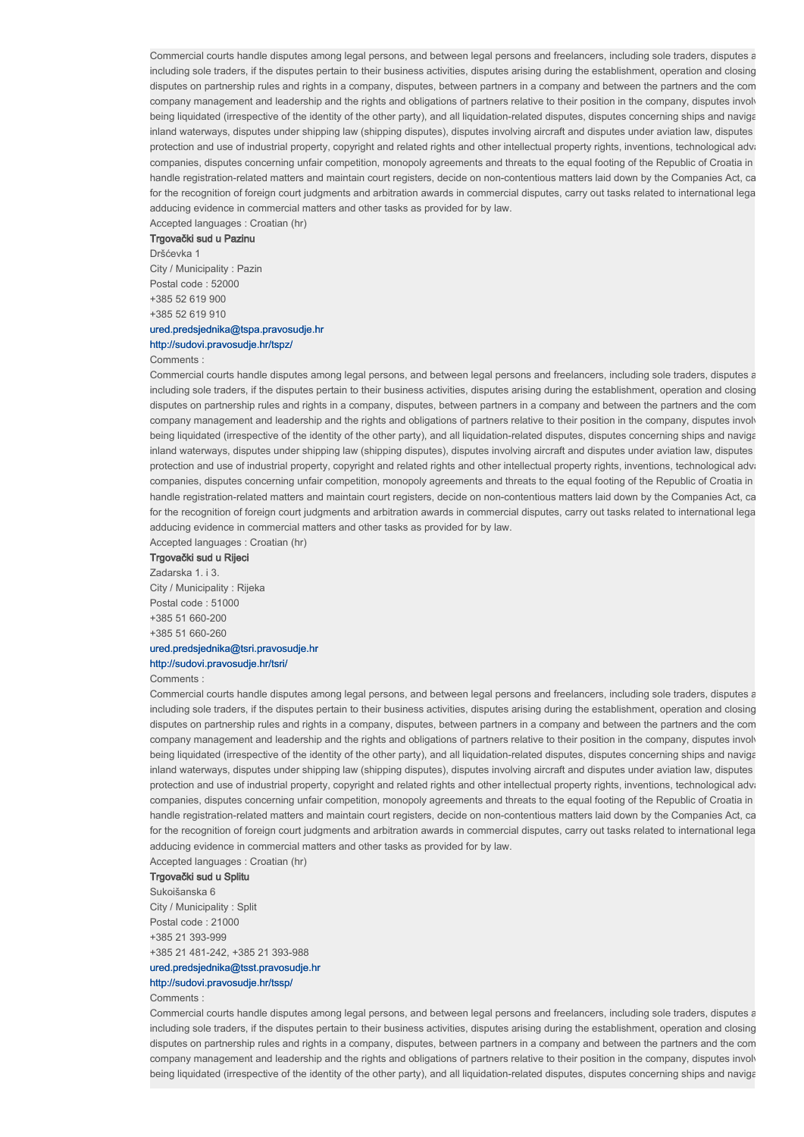Commercial courts handle disputes among legal persons, and between legal persons and freelancers, including sole traders, disputes a including sole traders, if the disputes pertain to their business activities, disputes arising during the establishment, operation and closing disputes on partnership rules and rights in a company, disputes, between partners in a company and between the partners and the com company management and leadership and the rights and obligations of partners relative to their position in the company, disputes involving being liquidated (irrespective of the identity of the other party), and all liquidation-related disputes, disputes concerning ships and navigationinland waterways, disputes under shipping law (shipping disputes), disputes involving aircraft and disputes under aviation law, disputes protection and use of industrial property, copyright and related rights and other intellectual property rights, inventions, technological advancements and variations and variations and variations and variations and variati companies, disputes concerning unfair competition, monopoly agreements and threats to the equal footing of the Republic of Croatia in handle registration-related matters and maintain court registers, decide on non-contentious matters laid down by the Companies Act, ca for the recognition of foreign court judgments and arbitration awards in commercial disputes, carry out tasks related to international lega adducing evidence in commercial matters and other tasks as provided for by law.

Accepted languages : Croatian (hr)

## Trgovački sud u Pazinu

Dršćevka 1

City / Municipality : Pazin Postal code : 52000 +385 52 619 900 +385 52 619 910

## ured.predsjednika@tspa.pravosudje.hr

# http://sudovi.pravosudje.hr/tspz/

## Comments :

Commercial courts handle disputes among legal persons, and between legal persons and freelancers, including sole traders, disputes a including sole traders, if the disputes pertain to their business activities, disputes arising during the establishment, operation and closing disputes on partnership rules and rights in a company, disputes, between partners in a company and between the partners and the com company management and leadership and the rights and obligations of partners relative to their position in the company, disputes involv being liquidated (irrespective of the identity of the other party), and all liquidation-related disputes, disputes concerning ships and navigation at and interest and interest and interest and interest and interest and int inland waterways, disputes under shipping law (shipping disputes), disputes involving aircraft and disputes under aviation law, disputes protection and use of industrial property, copyright and related rights and other intellectual property rights, inventions, technological advancements and variations and variations and variations and variations and variati companies, disputes concerning unfair competition, monopoly agreements and threats to the equal footing of the Republic of Croatia in handle registration-related matters and maintain court registers, decide on non-contentious matters laid down by the Companies Act, ca for the recognition of foreign court judgments and arbitration awards in commercial disputes, carry out tasks related to international legal adducing evidence in commercial matters and other tasks as provided for by law.

Accepted languages : Croatian (hr)

## Trgovački sud u Rijeci

Zadarska 1. i 3. City / Municipality : Rijeka Postal code : 51000 +385 51 660-200 +385 51 660-260 ured.predsjednika@tsri.pravosudje.hr

# http://sudovi.pravosudje.hr/tsri/

Comments :

Commercial courts handle disputes among legal persons, and between legal persons and freelancers, including sole traders, disputes a including sole traders, if the disputes pertain to their business activities, disputes arising during the establishment, operation and closing disputes on partnership rules and rights in a company, disputes, between partners in a company and between the partners and the com company management and leadership and the rights and obligations of partners relative to their position in the company, disputes involving being liquidated (irrespective of the identity of the other party), and all liquidation-related disputes, disputes concerning ships and navigation at any sea and navigation at any sea and in at sea and in sea and in sea an inland waterways, disputes under shipping law (shipping disputes), disputes involving aircraft and disputes under aviation law, disputes protection and use of industrial property, copyright and related rights and other intellectual property rights, inventions, technological advancements and variations and variations and variations and variations and variati companies, disputes concerning unfair competition, monopoly agreements and threats to the equal footing of the Republic of Croatia in handle registration-related matters and maintain court registers, decide on non-contentious matters laid down by the Companies Act, car for the recognition of foreign court judgments and arbitration awards in commercial disputes, carry out tasks related to international legal adducing evidence in commercial matters and other tasks as provided for by law.

Accepted languages : Croatian (hr)

## Trgovački sud u Splitu

Sukoišanska 6 City / Municipality : Split Postal code : 21000 +385 21 393-999 +385 21 481-242, +385 21 393-988

ured.predsjednika@tsst.pravosudje.hr

#### http://sudovi.pravosudje.hr/tssp/

#### Comments :

Commercial courts handle disputes among legal persons, and between legal persons and freelancers, including sole traders, disputes a including sole traders, if the disputes pertain to their business activities, disputes arising during the establishment, operation and closing disputes on partnership rules and rights in a company, disputes, between partners in a company and between the partners and the com company management and leadership and the rights and obligations of partners relative to their position in the company, disputes involved and that is that is that is expanded in that is a party that is a party that is invo being liquidated (irrespective of the identity of the other party), and all liquidation-related disputes, disputes concerning ships and navigation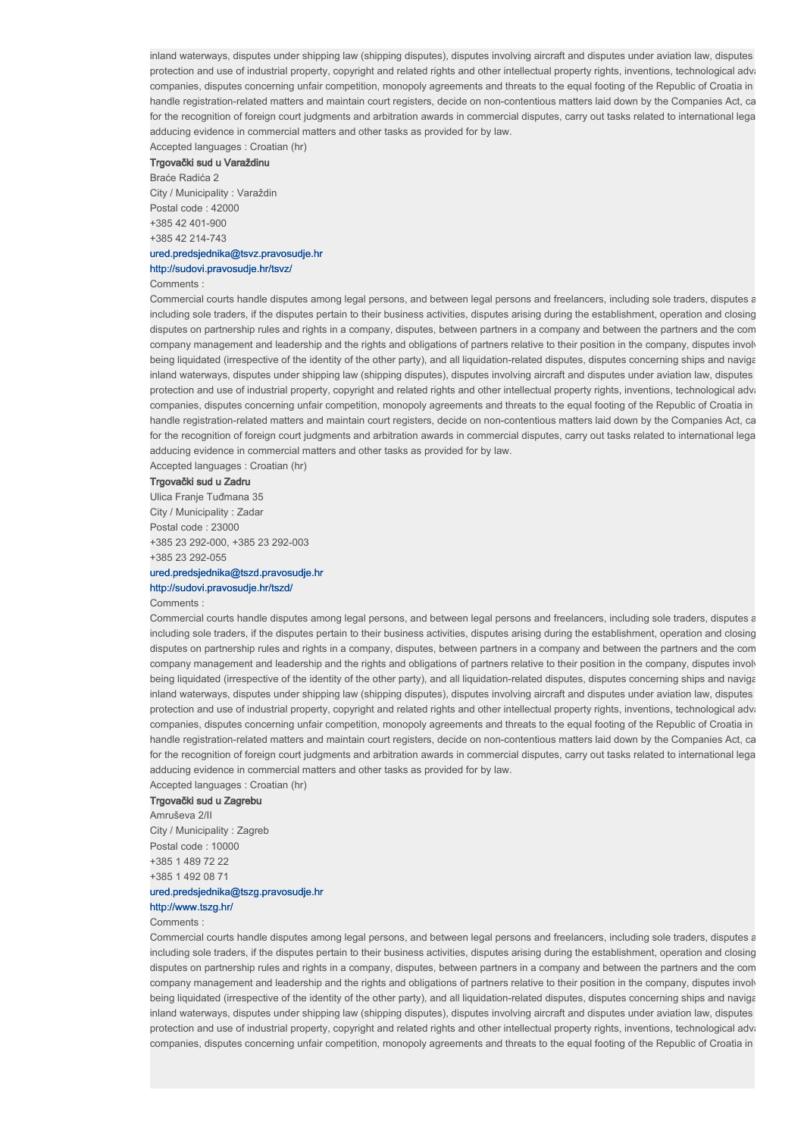inland waterways, disputes under shipping law (shipping disputes), disputes involving aircraft and disputes under aviation law, disputes protection and use of industrial property, copyright and related rights and other intellectual property rights, inventions, technological advancements and variations and variations and variations and variations and variati companies, disputes concerning unfair competition, monopoly agreements and threats to the equal footing of the Republic of Croatia in handle registration-related matters and maintain court registers, decide on non-contentious matters laid down by the Companies Act, ca for the recognition of foreign court judgments and arbitration awards in commercial disputes, carry out tasks related to international legal adducing evidence in commercial matters and other tasks as provided for by law.

Accepted languages : Croatian (hr) Trgovački sud u Varaždinu

Braće Radića 2

City / Municipality : Varaždin Postal code : 42000 +385 42 401-900 +385 42 214-743

## ured.predsjednika@tsvz.pravosudje.hr http://sudovi.pravosudje.hr/tsvz/

#### Comments :

Commercial courts handle disputes among legal persons, and between legal persons and freelancers, including sole traders, disputes a including sole traders, if the disputes pertain to their business activities, disputes arising during the establishment, operation and closing disputes on partnership rules and rights in a company, disputes, between partners in a company and between the partners and the com company management and leadership and the rights and obligations of partners relative to their position in the company, disputes involv being liquidated (irrespective of the identity of the other party), and all liquidation-related disputes, disputes concerning ships and navigation at and interest and interest and interest and interest and interest and int inland waterways, disputes under shipping law (shipping disputes), disputes involving aircraft and disputes under aviation law, disputes protection and use of industrial property, copyright and related rights and other intellectual property rights, inventions, technological advancements and variations and variations and variations and variations and variati companies, disputes concerning unfair competition, monopoly agreements and threats to the equal footing of the Republic of Croatia in handle registration-related matters and maintain court registers, decide on non-contentious matters laid down by the Companies Act, ca for the recognition of foreign court judgments and arbitration awards in commercial disputes, carry out tasks related to international lega adducing evidence in commercial matters and other tasks as provided for by law.

Accepted languages : Croatian (hr)

## Trgovački sud u Zadru

Ulica Franje Tuđmana 35 City / Municipality : Zadar Postal code : 23000 +385 23 292-000, +385 23 292-003 +385 23 292-055

# ured.predsjednika@tszd.pravosudje.hr

## http://sudovi.pravosudje.hr/tszd/

Comments :

Commercial courts handle disputes among legal persons, and between legal persons and freelancers, including sole traders, disputes a including sole traders, if the disputes pertain to their business activities, disputes arising during the establishment, operation and closing disputes on partnership rules and rights in a company, disputes, between partners in a company and between the partners and the com company management and leadership and the rights and obligations of partners relative to their position in the company, disputes involving being liquidated (irrespective of the identity of the other party), and all liquidation-related disputes, disputes concerning ships and navigation at any sea and navigation at any sea and in at sea and in sea and in sea an inland waterways, disputes under shipping law (shipping disputes), disputes involving aircraft and disputes under aviation law, disputes protection and use of industrial property, copyright and related rights and other intellectual property rights, inventions, technological advancements and variations and variations and variations and variations and variati companies, disputes concerning unfair competition, monopoly agreements and threats to the equal footing of the Republic of Croatia in handle registration-related matters and maintain court registers, decide on non-contentious matters laid down by the Companies Act, ca for the recognition of foreign court judgments and arbitration awards in commercial disputes, carry out tasks related to international legal adducing evidence in commercial matters and other tasks as provided for by law.

Accepted languages : Croatian (hr)

# Trgovački sud u Zagrebu

Amruševa 2/II City / Municipality : Zagreb Postal code : 10000 +385 1 489 72 22 +385 1 492 08 71

## ured.predsjednika@tszg.pravosudje.hr

# http://www.tszg.hr/

## Comments :

Commercial courts handle disputes among legal persons, and between legal persons and freelancers, including sole traders, disputes a including sole traders, if the disputes pertain to their business activities, disputes arising during the establishment, operation and closing disputes on partnership rules and rights in a company, disputes, between partners in a company and between the partners and the com company management and leadership and the rights and obligations of partners relative to their position in the company, disputes involving being liquidated (irrespective of the identity of the other party), and all liquidation-related disputes, disputes concerning ships and navigationinland waterways, disputes under shipping law (shipping disputes), disputes involving aircraft and disputes under aviation law, disputes protection and use of industrial property, copyright and related rights and other intellectual property rights, inventions, technological advancements and other intellectual property rights, inventions, technological advan companies, disputes concerning unfair competition, monopoly agreements and threats to the equal footing of the Republic of Croatia in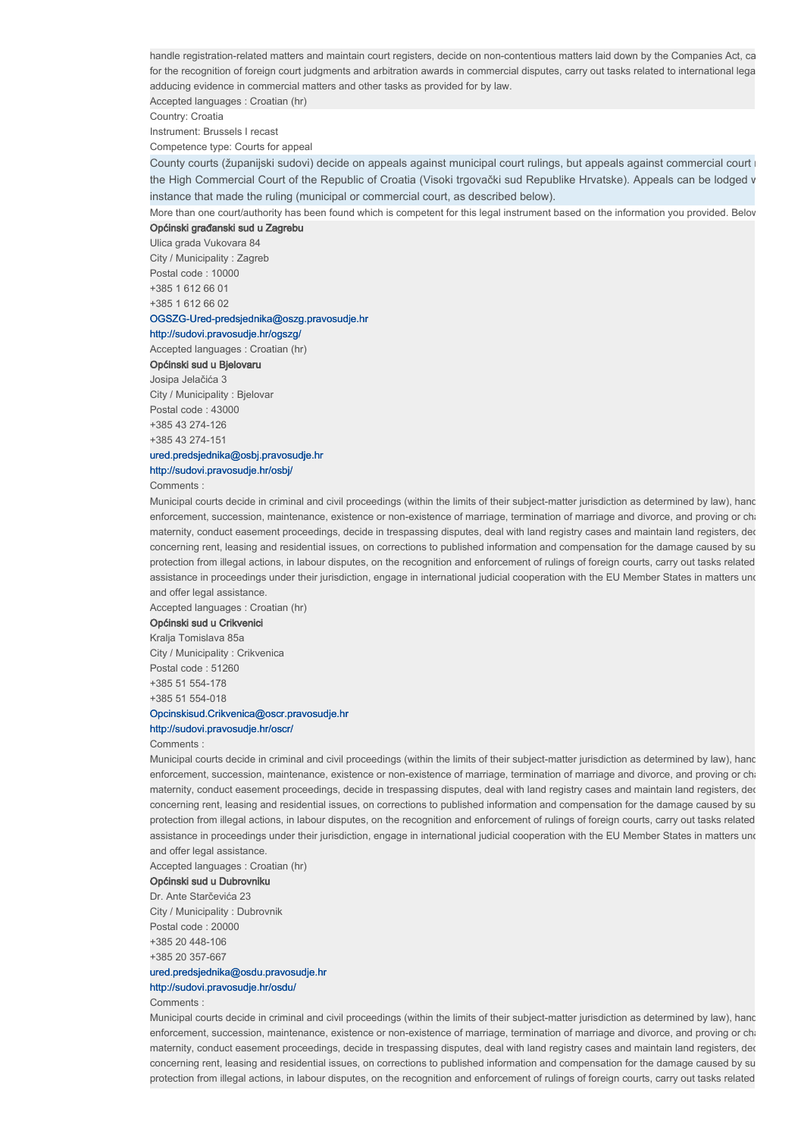handle registration-related matters and maintain court registers, decide on non-contentious matters laid down by the Companies Act, ca for the recognition of foreign court judgments and arbitration awards in commercial disputes, carry out tasks related to international lega adducing evidence in commercial matters and other tasks as provided for by law.

Accepted languages : Croatian (hr)

Country: Croatia

Instrument: Brussels I recast

Competence type: Courts for appeal

County courts (županijski sudovi) decide on appeals against municipal court rulings, but appeals against commercial court the High Commercial Court of the Republic of Croatia (Visoki trgovački sud Republike Hrvatske). Appeals can be lodged v instance that made the ruling (municipal or commercial court, as described below).

More than one court/authority has been found which is competent for this legal instrument based on the information you provided. Below Općinski građanski sud u Zagrebu

Ulica grada Vukovara 84 City / Municipality : Zagreb Postal code : 10000 +385 1 612 66 01 +385 1 612 66 02

## OGSZG-Ured-predsjednika@oszg.pravosudje.hr

## http://sudovi.pravosudje.hr/ogszg/

## Accepted languages : Croatian (hr)

Općinski sud u Bjelovaru

Josipa Jelačića 3 City / Municipality : Bjelovar Postal code : 43000 +385 43 274-126 +385 43 274-151

## ured.predsjednika@osbj.pravosudje.hr http://sudovi.pravosudje.hr/osbj/

Comments :

Municipal courts decide in criminal and civil proceedings (within the limits of their subject-matter jurisdiction as determined by law), hand enforcement, succession, maintenance, existence or non-existence of marriage, termination of marriage and divorce, and proving or cha maternity, conduct easement proceedings, decide in trespassing disputes, deal with land registry cases and maintain land registers, ded concerning rent, leasing and residential issues, on corrections to published information and compensation for the damage caused by su protection from illegal actions, in labour disputes, on the recognition and enforcement of rulings of foreign courts, carry out tasks related assistance in proceedings under their jurisdiction, engage in international judicial cooperation with the EU Member States in matters und and offer legal assistance.

Accepted languages : Croatian (hr)

## Općinski sud u Crikvenici

Kralja Tomislava 85a City / Municipality : Crikvenica Postal code : 51260 +385 51 554-178 +385 51 554-018

# Opcinskisud.Crikvenica@oscr.pravosudje.hr

http://sudovi.pravosudje.hr/oscr/

Comments :

Municipal courts decide in criminal and civil proceedings (within the limits of their subject-matter jurisdiction as determined by law), hand enforcement, succession, maintenance, existence or non-existence of marriage, termination of marriage and divorce, and proving or cha maternity, conduct easement proceedings, decide in trespassing disputes, deal with land registry cases and maintain land registers, ded concerning rent, leasing and residential issues, on corrections to published information and compensation for the damage caused by su protection from illegal actions, in labour disputes, on the recognition and enforcement of rulings of foreign courts, carry out tasks related assistance in proceedings under their jurisdiction, engage in international judicial cooperation with the EU Member States in matters und and offer legal assistance.

Accepted languages : Croatian (hr)

#### Općinski sud u Dubrovniku

Dr. Ante Starčevića 23 City / Municipality : Dubrovnik Postal code : 20000 +385 20 448-106 +385 20 357-667

## ured.predsjednika@osdu.pravosudje.hr

http://sudovi.pravosudje.hr/osdu/

#### Comments :

Municipal courts decide in criminal and civil proceedings (within the limits of their subject-matter jurisdiction as determined by law), hand enforcement, succession, maintenance, existence or non-existence of marriage, termination of marriage and divorce, and proving or cha maternity, conduct easement proceedings, decide in trespassing disputes, deal with land registry cases and maintain land registers, dec concerning rent, leasing and residential issues, on corrections to published information and compensation for the damage caused by su protection from illegal actions, in labour disputes, on the recognition and enforcement of rulings of foreign courts, carry out tasks related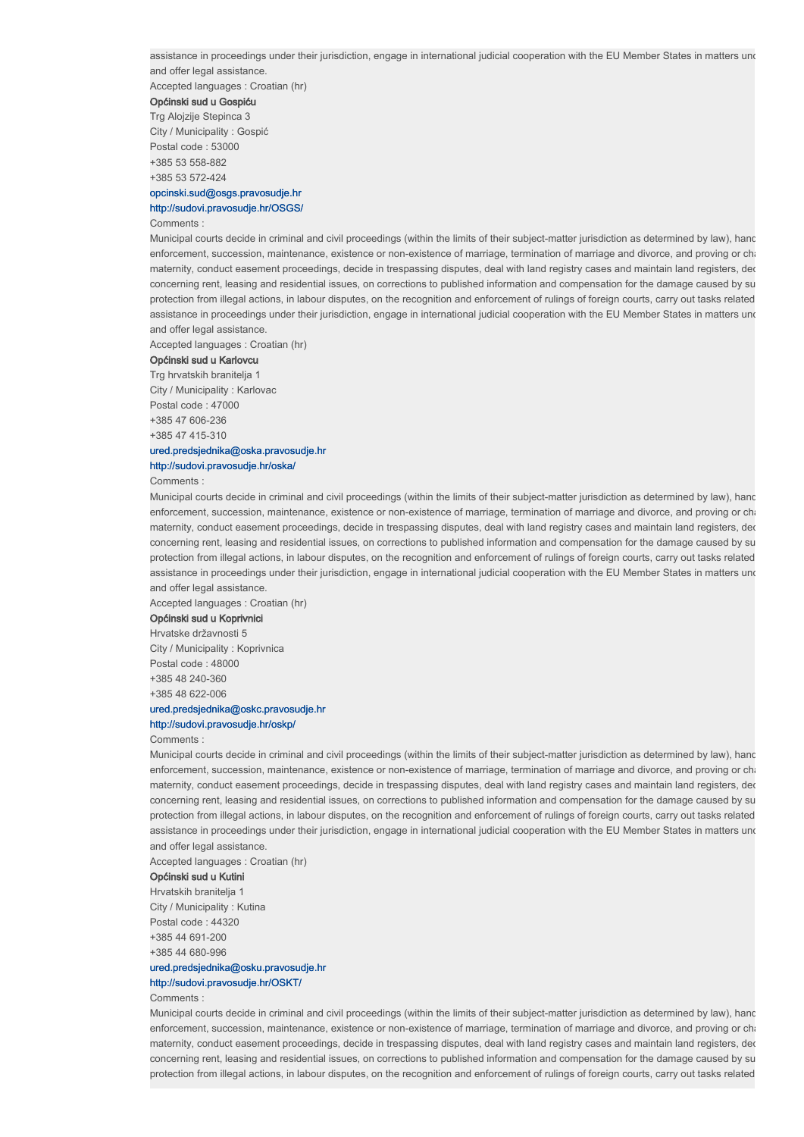Accepted languages : Croatian (hr)

#### Općinski sud u Gospiću

Trg Alojzije Stepinca 3 City / Municipality : Gospić Postal code : 53000 +385 53 558-882 +385 53 572-424

## opcinski.sud@osgs.pravosudje.hr http://sudovi.pravosudje.hr/OSGS/

#### Comments :

Municipal courts decide in criminal and civil proceedings (within the limits of their subject-matter jurisdiction as determined by law), hand enforcement, succession, maintenance, existence or non-existence of marriage, termination of marriage and divorce, and proving or cha maternity, conduct easement proceedings, decide in trespassing disputes, deal with land registry cases and maintain land registers, ded concerning rent, leasing and residential issues, on corrections to published information and compensation for the damage caused by su protection from illegal actions, in labour disputes, on the recognition and enforcement of rulings of foreign courts, carry out tasks related assistance in proceedings under their jurisdiction, engage in international judicial cooperation with the EU Member States in matters und and offer legal assistance.

Accepted languages : Croatian (hr)

## Općinski sud u Karlovcu

Trg hrvatskih branitelja 1 City / Municipality : Karlovac

Postal code : 47000 +385 47 606-236 +385 47 415-310

## ured.predsjednika@oska.pravosudje.hr

http://sudovi.pravosudje.hr/oska/

Comments :

Municipal courts decide in criminal and civil proceedings (within the limits of their subject-matter jurisdiction as determined by law), hand enforcement, succession, maintenance, existence or non-existence of marriage, termination of marriage and divorce, and proving or chari maternity, conduct easement proceedings, decide in trespassing disputes, deal with land registry cases and maintain land registers, ded concerning rent, leasing and residential issues, on corrections to published information and compensation for the damage caused by su protection from illegal actions, in labour disputes, on the recognition and enforcement of rulings of foreign courts, carry out tasks related assistance in proceedings under their jurisdiction, engage in international judicial cooperation with the EU Member States in matters und and offer legal assistance.

Accepted languages : Croatian (hr)

## Općinski sud u Koprivnici

Hrvatske državnosti 5 City / Municipality : Koprivnica Postal code : 48000 +385 48 240-360 +385 48 622-006

## ured.predsjednika@oskc.pravosudje.hr

# http://sudovi.pravosudje.hr/oskp/

## Comments :

Municipal courts decide in criminal and civil proceedings (within the limits of their subject-matter jurisdiction as determined by law), hand enforcement, succession, maintenance, existence or non-existence of marriage, termination of marriage and divorce, and proving or chari maternity, conduct easement proceedings, decide in trespassing disputes, deal with land registry cases and maintain land registers, ded concerning rent, leasing and residential issues, on corrections to published information and compensation for the damage caused by su protection from illegal actions, in labour disputes, on the recognition and enforcement of rulings of foreign courts, carry out tasks related assistance in proceedings under their jurisdiction, engage in international judicial cooperation with the EU Member States in matters und and offer legal assistance.

Accepted languages : Croatian (hr)

## Općinski sud u Kutini

Hrvatskih branitelja 1 City / Municipality : Kutina Postal code : 44320 +385 44 691-200 +385 44 680-996

## ured.predsjednika@osku.pravosudje.hr http://sudovi.pravosudje.hr/OSKT/

#### Comments :

Municipal courts decide in criminal and civil proceedings (within the limits of their subject-matter jurisdiction as determined by law), hand enforcement, succession, maintenance, existence or non-existence of marriage, termination of marriage and divorce, and proving or charge maternity, conduct easement proceedings, decide in trespassing disputes, deal with land registry cases and maintain land registers, ded concerning rent, leasing and residential issues, on corrections to published information and compensation for the damage caused by su protection from illegal actions, in labour disputes, on the recognition and enforcement of rulings of foreign courts, carry out tasks related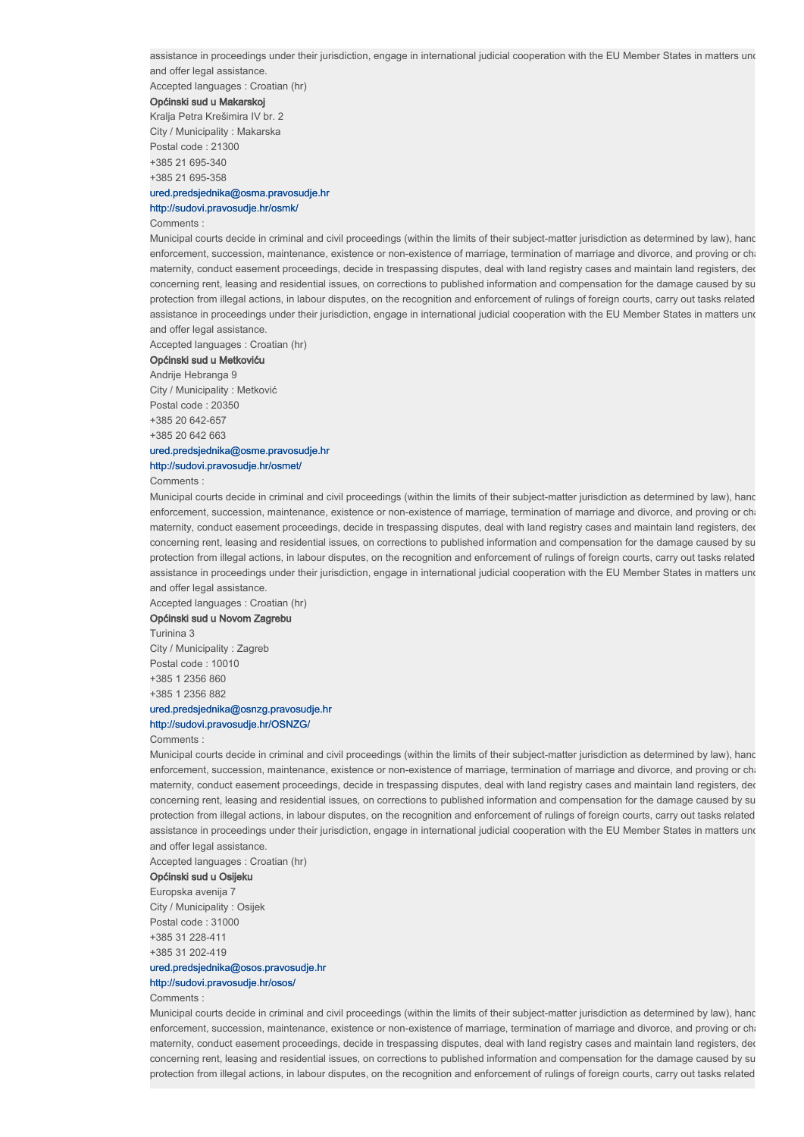Accepted languages : Croatian (hr)

#### Općinski sud u Makarskoj

Kralja Petra Krešimira IV br. 2 City / Municipality : Makarska Postal code : 21300 +385 21 695-340 +385 21 695-358

## ured.predsjednika@osma.pravosudje.hr http://sudovi.pravosudje.hr/osmk/

#### Comments :

Municipal courts decide in criminal and civil proceedings (within the limits of their subject-matter jurisdiction as determined by law), hand enforcement, succession, maintenance, existence or non-existence of marriage, termination of marriage and divorce, and proving or cha maternity, conduct easement proceedings, decide in trespassing disputes, deal with land registry cases and maintain land registers, ded concerning rent, leasing and residential issues, on corrections to published information and compensation for the damage caused by su protection from illegal actions, in labour disputes, on the recognition and enforcement of rulings of foreign courts, carry out tasks related assistance in proceedings under their jurisdiction, engage in international judicial cooperation with the EU Member States in matters und and offer legal assistance.

Accepted languages : Croatian (hr)

#### Općinski sud u Metkoviću

Andrije Hebranga 9

City / Municipality : Metković Postal code : 20350 +385 20 642-657 +385 20 642 663

# ured.predsjednika@osme.pravosudje.hr

http://sudovi.pravosudje.hr/osmet/

Comments :

Municipal courts decide in criminal and civil proceedings (within the limits of their subject-matter jurisdiction as determined by law), hand enforcement, succession, maintenance, existence or non-existence of marriage, termination of marriage and divorce, and proving or chari maternity, conduct easement proceedings, decide in trespassing disputes, deal with land registry cases and maintain land registers, ded concerning rent, leasing and residential issues, on corrections to published information and compensation for the damage caused by su protection from illegal actions, in labour disputes, on the recognition and enforcement of rulings of foreign courts, carry out tasks related assistance in proceedings under their jurisdiction, engage in international judicial cooperation with the EU Member States in matters und and offer legal assistance.

Accepted languages : Croatian (hr)

## Općinski sud u Novom Zagrebu

Turinina 3

City / Municipality : Zagreb Postal code : 10010 +385 1 2356 860 +385 1 2356 882

#### ured.predsjednika@osnzg.pravosudje.hr http://sudovi.pravosudje.hr/OSNZG/

#### Comments :

Municipal courts decide in criminal and civil proceedings (within the limits of their subject-matter jurisdiction as determined by law), hand enforcement, succession, maintenance, existence or non-existence of marriage, termination of marriage and divorce, and proving or chari maternity, conduct easement proceedings, decide in trespassing disputes, deal with land registry cases and maintain land registers, ded concerning rent, leasing and residential issues, on corrections to published information and compensation for the damage caused by su protection from illegal actions, in labour disputes, on the recognition and enforcement of rulings of foreign courts, carry out tasks related assistance in proceedings under their jurisdiction, engage in international judicial cooperation with the EU Member States in matters und and offer legal assistance.

Accepted languages : Croatian (hr)

## Općinski sud u Osijeku

Europska avenija 7 City / Municipality : Osijek Postal code : 31000 +385 31 228-411 +385 31 202-419

## ured.predsjednika@osos.pravosudje.hr http://sudovi.pravosudje.hr/osos/

Comments :

Municipal courts decide in criminal and civil proceedings (within the limits of their subject-matter jurisdiction as determined by law), hand enforcement, succession, maintenance, existence or non-existence of marriage, termination of marriage and divorce, and proving or charge maternity, conduct easement proceedings, decide in trespassing disputes, deal with land registry cases and maintain land registers, dec concerning rent, leasing and residential issues, on corrections to published information and compensation for the damage caused by su protection from illegal actions, in labour disputes, on the recognition and enforcement of rulings of foreign courts, carry out tasks related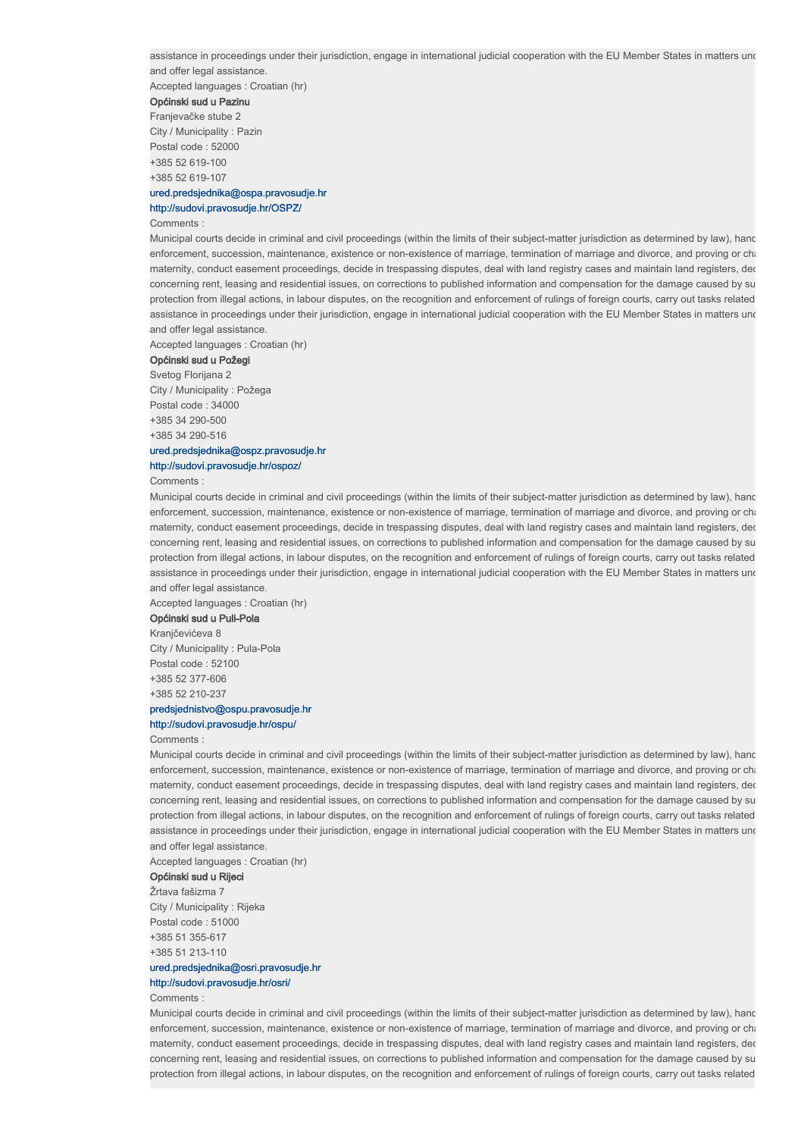Accepted languages : Croatian (hr)

#### Općinski sud u Pazinu

Franjevačke stube 2 City / Municipality : Pazin Postal code : 52000 +385 52 619-100 +385 52 619-107

## ured.predsjednika@ospa.pravosudje.hr http://sudovi.pravosudje.hr/OSPZ/

#### Comments :

Municipal courts decide in criminal and civil proceedings (within the limits of their subject-matter jurisdiction as determined by law), hand enforcement, succession, maintenance, existence or non-existence of marriage, termination of marriage and divorce, and proving or cha maternity, conduct easement proceedings, decide in trespassing disputes, deal with land registry cases and maintain land registers, ded concerning rent, leasing and residential issues, on corrections to published information and compensation for the damage caused by su protection from illegal actions, in labour disputes, on the recognition and enforcement of rulings of foreign courts, carry out tasks related assistance in proceedings under their jurisdiction, engage in international judicial cooperation with the EU Member States in matters und and offer legal assistance.

Accepted languages : Croatian (hr)

## Općinski sud u Požegi

#### Svetog Florijana 2

City / Municipality : Požega Postal code : 34000 +385 34 290-500 +385 34 290-516

## ured.predsjednika@ospz.pravosudje.hr http://sudovi.pravosudje.hr/ospoz/

Comments :

Municipal courts decide in criminal and civil proceedings (within the limits of their subject-matter jurisdiction as determined by law), hand enforcement, succession, maintenance, existence or non-existence of marriage, termination of marriage and divorce, and proving or chari maternity, conduct easement proceedings, decide in trespassing disputes, deal with land registry cases and maintain land registers, ded concerning rent, leasing and residential issues, on corrections to published information and compensation for the damage caused by su protection from illegal actions, in labour disputes, on the recognition and enforcement of rulings of foreign courts, carry out tasks related assistance in proceedings under their jurisdiction, engage in international judicial cooperation with the EU Member States in matters und and offer legal assistance.

Accepted languages : Croatian (hr)

#### Općinski sud u Puli-Pola Kranjčevićeva 8

City / Municipality : Pula-Pola Postal code : 52100 +385 52 377-606 +385 52 210-237

## predsjednistvo@ospu.pravosudje.hr

# http://sudovi.pravosudje.hr/ospu/

## Comments :

Municipal courts decide in criminal and civil proceedings (within the limits of their subject-matter jurisdiction as determined by law), hand enforcement, succession, maintenance, existence or non-existence of marriage, termination of marriage and divorce, and proving or chari maternity, conduct easement proceedings, decide in trespassing disputes, deal with land registry cases and maintain land registers, ded concerning rent, leasing and residential issues, on corrections to published information and compensation for the damage caused by su protection from illegal actions, in labour disputes, on the recognition and enforcement of rulings of foreign courts, carry out tasks related assistance in proceedings under their jurisdiction, engage in international judicial cooperation with the EU Member States in matters und and offer legal assistance.

Accepted languages : Croatian (hr)

# Općinski sud u Rijeci

Žrtava fašizma 7 City / Municipality : Rijeka Postal code : 51000 +385 51 355-617 +385 51 213-110

## ured.predsjednika@osri.pravosudje.hr http://sudovi.pravosudje.hr/osri/

#### Comments :

Municipal courts decide in criminal and civil proceedings (within the limits of their subject-matter jurisdiction as determined by law), hand enforcement, succession, maintenance, existence or non-existence of marriage, termination of marriage and divorce, and proving or chari maternity, conduct easement proceedings, decide in trespassing disputes, deal with land registry cases and maintain land registers, dec concerning rent, leasing and residential issues, on corrections to published information and compensation for the damage caused by su protection from illegal actions, in labour disputes, on the recognition and enforcement of rulings of foreign courts, carry out tasks related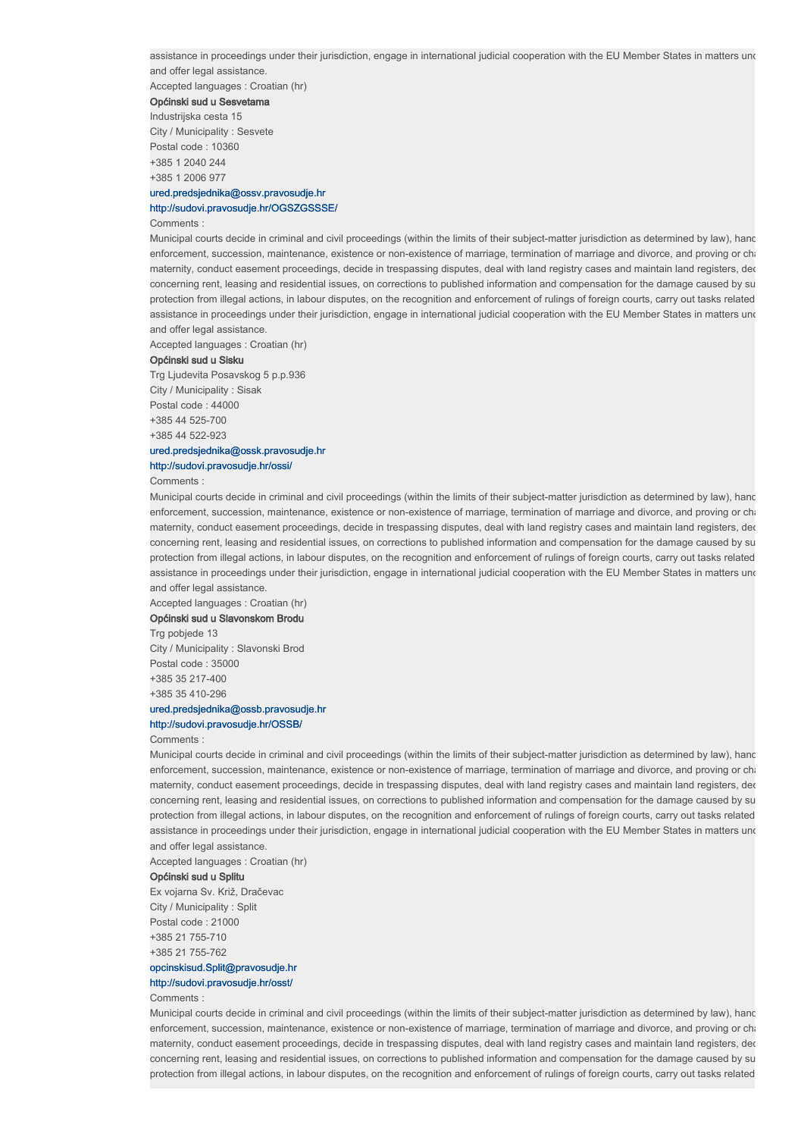Accepted languages : Croatian (hr)

#### Općinski sud u Sesvetama

Industrijska cesta 15 City / Municipality : Sesvete Postal code : 10360 +385 1 2040 244 +385 1 2006 977

## ured.predsjednika@ossv.pravosudje.hr http://sudovi.pravosudje.hr/OGSZGSSSE/

#### Comments :

Municipal courts decide in criminal and civil proceedings (within the limits of their subject-matter jurisdiction as determined by law), hand enforcement, succession, maintenance, existence or non-existence of marriage, termination of marriage and divorce, and proving or cha maternity, conduct easement proceedings, decide in trespassing disputes, deal with land registry cases and maintain land registers, ded concerning rent, leasing and residential issues, on corrections to published information and compensation for the damage caused by su protection from illegal actions, in labour disputes, on the recognition and enforcement of rulings of foreign courts, carry out tasks related assistance in proceedings under their jurisdiction, engage in international judicial cooperation with the EU Member States in matters und and offer legal assistance.

Accepted languages : Croatian (hr)

#### Općinski sud u Sisku

Trg Ljudevita Posavskog 5 p.p.936 City / Municipality : Sisak Postal code : 44000 +385 44 525-700 +385 44 522-923

# ured.predsjednika@ossk.pravosudje.hr

http://sudovi.pravosudje.hr/ossi/

## Comments :

Municipal courts decide in criminal and civil proceedings (within the limits of their subject-matter jurisdiction as determined by law), hand enforcement, succession, maintenance, existence or non-existence of marriage, termination of marriage and divorce, and proving or chari maternity, conduct easement proceedings, decide in trespassing disputes, deal with land registry cases and maintain land registers, ded concerning rent, leasing and residential issues, on corrections to published information and compensation for the damage caused by su protection from illegal actions, in labour disputes, on the recognition and enforcement of rulings of foreign courts, carry out tasks related assistance in proceedings under their jurisdiction, engage in international judicial cooperation with the EU Member States in matters und and offer legal assistance.

Accepted languages : Croatian (hr)

# Općinski sud u Slavonskom Brodu

Trg pobjede 13 City / Municipality : Slavonski Brod Postal code : 35000 +385 35 217-400 +385 35 410-296

# ured.predsjednika@ossb.pravosudje.hr

# http://sudovi.pravosudje.hr/OSSB/

Comments :

Municipal courts decide in criminal and civil proceedings (within the limits of their subject-matter jurisdiction as determined by law), hand enforcement, succession, maintenance, existence or non-existence of marriage, termination of marriage and divorce, and proving or chari maternity, conduct easement proceedings, decide in trespassing disputes, deal with land registry cases and maintain land registers, ded concerning rent, leasing and residential issues, on corrections to published information and compensation for the damage caused by su protection from illegal actions, in labour disputes, on the recognition and enforcement of rulings of foreign courts, carry out tasks related assistance in proceedings under their jurisdiction, engage in international judicial cooperation with the EU Member States in matters und and offer legal assistance.

Accepted languages : Croatian (hr)

## Općinski sud u Splitu

Ex vojarna Sv. Križ, Dračevac City / Municipality : Split Postal code : 21000 +385 21 755-710 +385 21 755-762

## opcinskisud.Split@pravosudje.hr http://sudovi.pravosudje.hr/osst/

#### Comments :

Municipal courts decide in criminal and civil proceedings (within the limits of their subject-matter jurisdiction as determined by law), hand enforcement, succession, maintenance, existence or non-existence of marriage, termination of marriage and divorce, and proving or chari maternity, conduct easement proceedings, decide in trespassing disputes, deal with land registry cases and maintain land registers, dec concerning rent, leasing and residential issues, on corrections to published information and compensation for the damage caused by su protection from illegal actions, in labour disputes, on the recognition and enforcement of rulings of foreign courts, carry out tasks related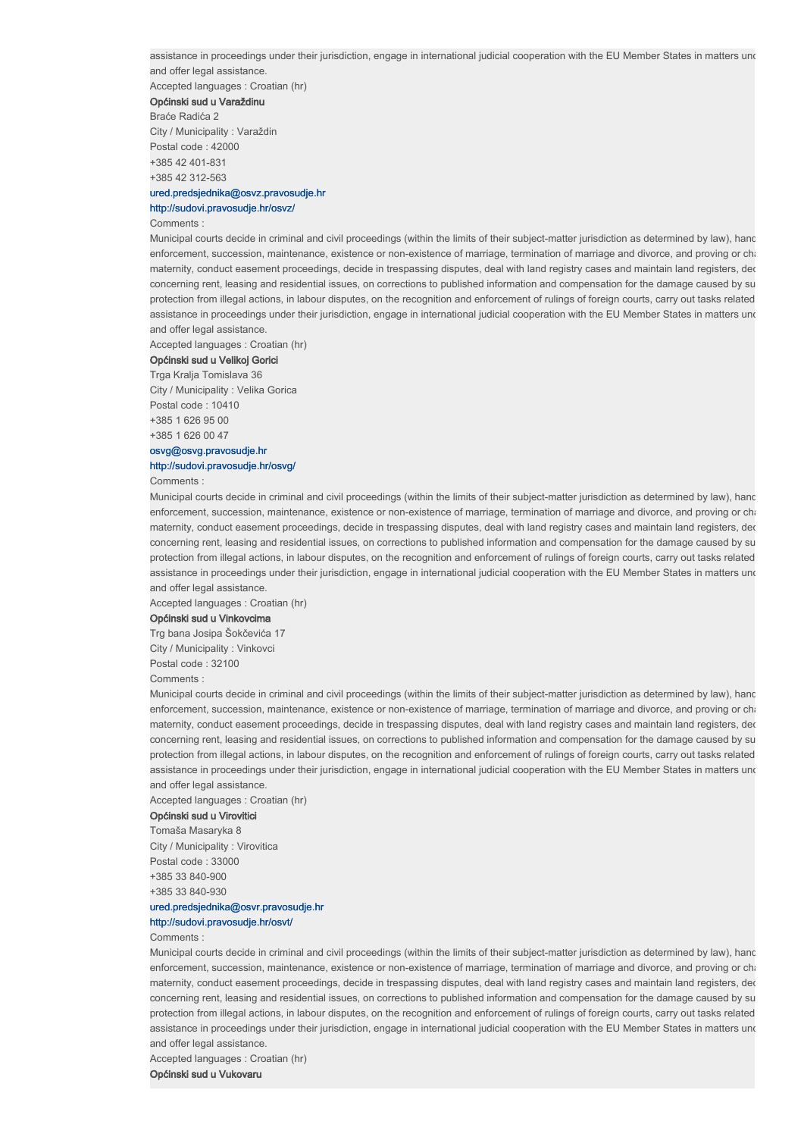Accepted languages : Croatian (hr)

#### Općinski sud u Varaždinu

Braće Radića 2 City / Municipality : Varaždin Postal code : 42000 +385 42 401-831 +385 42 312-563

## ured.predsjednika@osvz.pravosudje.hr http://sudovi.pravosudje.hr/osvz/

#### Comments :

Municipal courts decide in criminal and civil proceedings (within the limits of their subject-matter jurisdiction as determined by law), hand enforcement, succession, maintenance, existence or non-existence of marriage, termination of marriage and divorce, and proving or cha maternity, conduct easement proceedings, decide in trespassing disputes, deal with land registry cases and maintain land registers, ded concerning rent, leasing and residential issues, on corrections to published information and compensation for the damage caused by su protection from illegal actions, in labour disputes, on the recognition and enforcement of rulings of foreign courts, carry out tasks related assistance in proceedings under their jurisdiction, engage in international judicial cooperation with the EU Member States in matters und and offer legal assistance.

Accepted languages : Croatian (hr)

#### Općinski sud u Velikoj Gorici

Trga Kralja Tomislava 36

City / Municipality : Velika Gorica Postal code : 10410 +385 1 626 95 00 +385 1 626 00 47

## osvg@osvg.pravosudje.hr http://sudovi.pravosudje.hr/osvg/

#### Comments :

Municipal courts decide in criminal and civil proceedings (within the limits of their subject-matter jurisdiction as determined by law), hand enforcement, succession, maintenance, existence or non-existence of marriage, termination of marriage and divorce, and proving or chari maternity, conduct easement proceedings, decide in trespassing disputes, deal with land registry cases and maintain land registers, ded concerning rent, leasing and residential issues, on corrections to published information and compensation for the damage caused by su protection from illegal actions, in labour disputes, on the recognition and enforcement of rulings of foreign courts, carry out tasks related assistance in proceedings under their jurisdiction, engage in international judicial cooperation with the EU Member States in matters und and offer legal assistance.

Accepted languages : Croatian (hr)

#### Općinski sud u Vinkovcima

Trg bana Josipa Šokčevića 17 City / Municipality : Vinkovci Postal code : 32100 Comments :

Municipal courts decide in criminal and civil proceedings (within the limits of their subject-matter jurisdiction as determined by law), hand enforcement, succession, maintenance, existence or non-existence of marriage, termination of marriage and divorce, and proving or charallenging paternity or channel. maternity, conduct easement proceedings, decide in trespassing disputes, deal with land registry cases and maintain land registers, ded concerning rent, leasing and residential issues, on corrections to published information and compensation for the damage caused by su protection from illegal actions, in labour disputes, on the recognition and enforcement of rulings of foreign courts, carry out tasks related assistance in proceedings under their jurisdiction, engage in international judicial cooperation with the EU Member States in matters und and offer legal assistance.

Accepted languages : Croatian (hr)

## Općinski sud u Virovitici

Tomaša Masaryka 8 City / Municipality : Virovitica Postal code : 33000 +385 33 840-900 +385 33 840-930

# ured.predsjednika@osvr.pravosudje.hr

# http://sudovi.pravosudje.hr/osvt/

## Comments :

Municipal courts decide in criminal and civil proceedings (within the limits of their subject-matter jurisdiction as determined by law), hand enforcement, succession, maintenance, existence or non-existence of marriage, termination of marriage and divorce, and proving or cha maternity, conduct easement proceedings, decide in trespassing disputes, deal with land registry cases and maintain land registers, der concerning rent, leasing and residential issues, on corrections to published information and compensation for the damage caused by su protection from illegal actions, in labour disputes, on the recognition and enforcement of rulings of foreign courts, carry out tasks related assistance in proceedings under their jurisdiction, engage in international judicial cooperation with the EU Member States in matters und and offer legal assistance.

Accepted languages : Croatian (hr)

Općinski sud u Vukovaru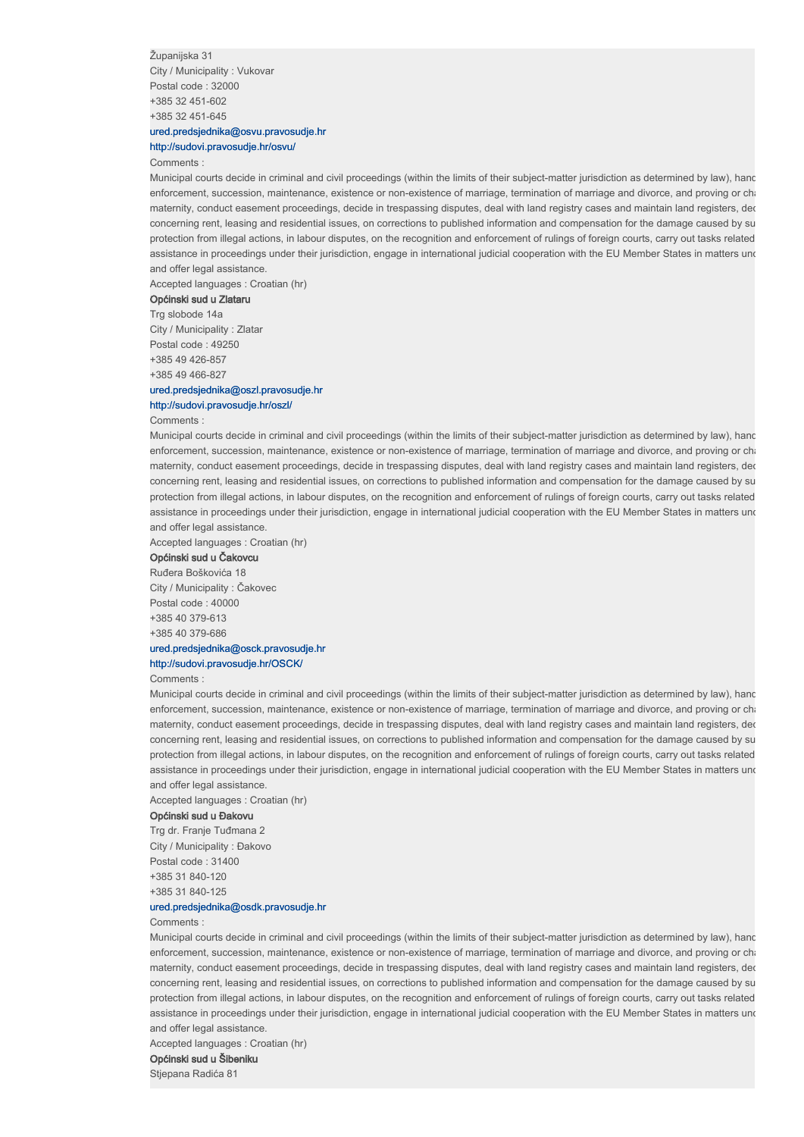Županijska 31 City / Municipality : Vukovar Postal code : 32000 +385 32 451-602 +385 32 451-645

## ured.predsjednika@osvu.pravosudje.hr http://sudovi.pravosudje.hr/osvu/

#### Comments :

Municipal courts decide in criminal and civil proceedings (within the limits of their subject-matter jurisdiction as determined by law), hand enforcement, succession, maintenance, existence or non-existence of marriage, termination of marriage and divorce, and proving or cha maternity, conduct easement proceedings, decide in trespassing disputes, deal with land registry cases and maintain land registers, der concerning rent, leasing and residential issues, on corrections to published information and compensation for the damage caused by su protection from illegal actions, in labour disputes, on the recognition and enforcement of rulings of foreign courts, carry out tasks related assistance in proceedings under their jurisdiction, engage in international judicial cooperation with the EU Member States in matters und and offer legal assistance.

Accepted languages : Croatian (hr)

## Općinski sud u Zlataru

Trg slobode 14a City / Municipality : Zlatar Postal code : 49250 +385 49 426-857 +385 49 466-827

# ured.predsjednika@oszl.pravosudje.hr

## http://sudovi.pravosudje.hr/oszl/

#### Comments :

Municipal courts decide in criminal and civil proceedings (within the limits of their subject-matter jurisdiction as determined by law), hand enforcement, succession, maintenance, existence or non-existence of marriage, termination of marriage and divorce, and proving or cha maternity, conduct easement proceedings, decide in trespassing disputes, deal with land registry cases and maintain land registers, der concerning rent, leasing and residential issues, on corrections to published information and compensation for the damage caused by su protection from illegal actions, in labour disputes, on the recognition and enforcement of rulings of foreign courts, carry out tasks related assistance in proceedings under their jurisdiction, engage in international judicial cooperation with the EU Member States in matters und and offer legal assistance.

Accepted languages : Croatian (hr)

## Općinski sud u Čakovcu

Ruđera Boškovića 18 City / Municipality : Čakovec Postal code : 40000 +385 40 379-613 +385 40 379-686 ured.predsjednika@osck.pravosudje.hr

# http://sudovi.pravosudje.hr/OSCK/

#### Comments :

Municipal courts decide in criminal and civil proceedings (within the limits of their subject-matter jurisdiction as determined by law), hand enforcement, succession, maintenance, existence or non-existence of marriage, termination of marriage and divorce, and proving or charallenging paternity or channel. maternity, conduct easement proceedings, decide in trespassing disputes, deal with land registry cases and maintain land registers, dec concerning rent, leasing and residential issues, on corrections to published information and compensation for the damage caused by su protection from illegal actions, in labour disputes, on the recognition and enforcement of rulings of foreign courts, carry out tasks related assistance in proceedings under their jurisdiction, engage in international judicial cooperation with the EU Member States in matters und and offer legal assistance.

Accepted languages : Croatian (hr)

## Općinski sud u Đakovu

Trg dr. Franje Tuđmana 2 City / Municipality : Đakovo Postal code : 31400 +385 31 840-120 +385 31 840-125

## ured.predsjednika@osdk.pravosudje.hr

#### Comments :

Municipal courts decide in criminal and civil proceedings (within the limits of their subject-matter jurisdiction as determined by law), hand enforcement, succession, maintenance, existence or non-existence of marriage, termination of marriage and divorce, and proving or cha maternity, conduct easement proceedings, decide in trespassing disputes, deal with land registry cases and maintain land registers, der concerning rent, leasing and residential issues, on corrections to published information and compensation for the damage caused by su protection from illegal actions, in labour disputes, on the recognition and enforcement of rulings of foreign courts, carry out tasks related assistance in proceedings under their jurisdiction, engage in international judicial cooperation with the EU Member States in matters und and offer legal assistance.

Accepted languages : Croatian (hr)

## Općinski sud u Šibeniku

Stjepana Radića 81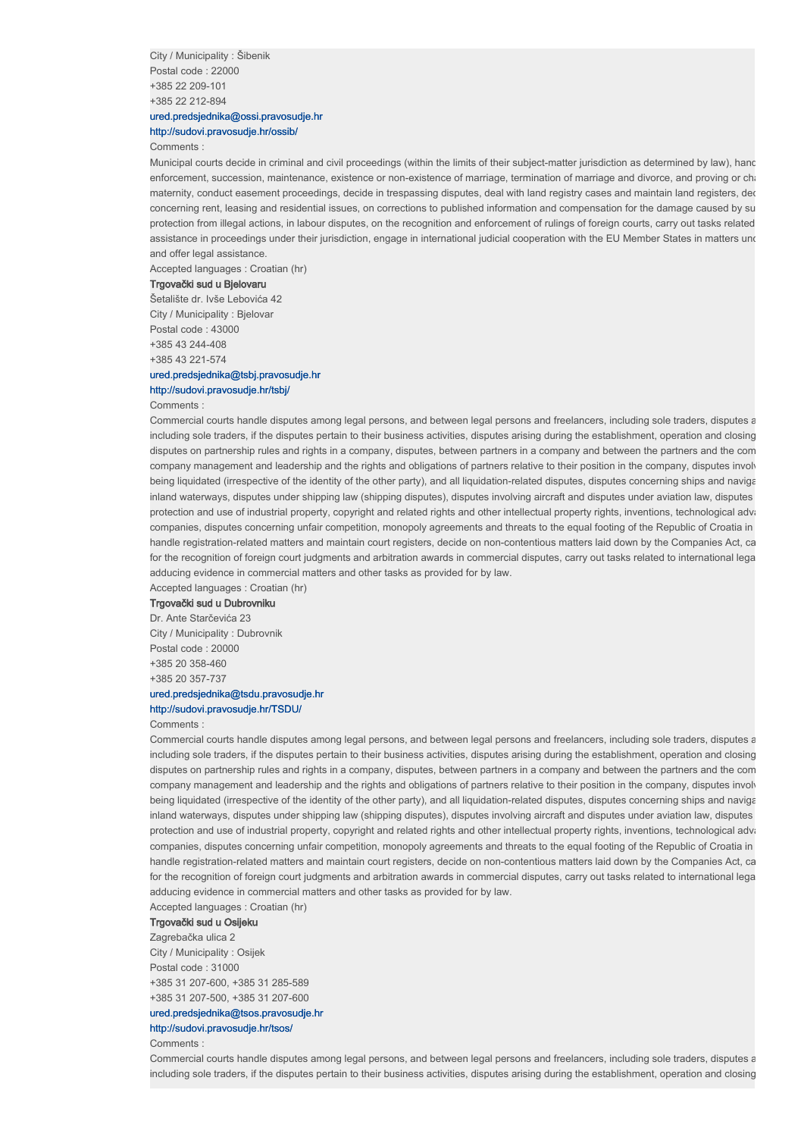City / Municipality : Šibenik Postal code : 22000 +385 22 209-101 +385 22 212-894

## ured.predsjednika@ossi.pravosudje.hr http://sudovi.pravosudje.hr/ossib/

#### Comments :

Municipal courts decide in criminal and civil proceedings (within the limits of their subject-matter jurisdiction as determined by law), hand enforcement, succession, maintenance, existence or non-existence of marriage, termination of marriage and divorce, and proving or cha maternity, conduct easement proceedings, decide in trespassing disputes, deal with land registry cases and maintain land registers, der concerning rent, leasing and residential issues, on corrections to published information and compensation for the damage caused by su protection from illegal actions, in labour disputes, on the recognition and enforcement of rulings of foreign courts, carry out tasks related assistance in proceedings under their jurisdiction, engage in international judicial cooperation with the EU Member States in matters und and offer legal assistance.

Accepted languages : Croatian (hr)

#### Trgovački sud u Bjelovaru

Šetalište dr. Ivše Lebovića 42 City / Municipality : Bjelovar Postal code : 43000 +385 43 244-408 +385 43 221-574

## ured.predsjednika@tsbj.pravosudje.hr http://sudovi.pravosudje.hr/tsbj/

#### Comments :

Commercial courts handle disputes among legal persons, and between legal persons and freelancers, including sole traders, disputes a including sole traders, if the disputes pertain to their business activities, disputes arising during the establishment, operation and closing disputes on partnership rules and rights in a company, disputes, between partners in a company and between the partners and the com company management and leadership and the rights and obligations of partners relative to their position in the company, disputes involv being liquidated (irrespective of the identity of the other party), and all liquidation-related disputes, disputes concerning ships and navigation at any sea and interest concerning ships and navigation at an interest conc inland waterways, disputes under shipping law (shipping disputes), disputes involving aircraft and disputes under aviation law, disputes protection and use of industrial property, copyright and related rights and other intellectual property rights, inventions, technological advancements and vanishing and vanishing and vanishing and vanishing and vanishing a companies, disputes concerning unfair competition, monopoly agreements and threats to the equal footing of the Republic of Croatia in handle registration-related matters and maintain court registers, decide on non-contentious matters laid down by the Companies Act, ca for the recognition of foreign court judgments and arbitration awards in commercial disputes, carry out tasks related to international lega adducing evidence in commercial matters and other tasks as provided for by law.

Accepted languages : Croatian (hr)

#### Trgovački sud u Dubrovniku

Dr. Ante Starčevića 23 City / Municipality : Dubrovnik Postal code : 20000 +385 20 358-460 +385 20 357-737

# ured.predsjednika@tsdu.pravosudje.hr

## http://sudovi.pravosudje.hr/TSDU/

Comments :

Commercial courts handle disputes among legal persons, and between legal persons and freelancers, including sole traders, disputes a including sole traders, if the disputes pertain to their business activities, disputes arising during the establishment, operation and closing disputes on partnership rules and rights in a company, disputes, between partners in a company and between the partners and the com company management and leadership and the rights and obligations of partners relative to their position in the company, disputes involving being liquidated (irrespective of the identity of the other party), and all liquidation-related disputes, disputes concerning ships and navigationinland waterways, disputes under shipping law (shipping disputes), disputes involving aircraft and disputes under aviation law, disputes protection and use of industrial property, copyright and related rights and other intellectual property rights, inventions, technological advancements and vanishing and vanishing and vanishing and vanishing and vanishing a companies, disputes concerning unfair competition, monopoly agreements and threats to the equal footing of the Republic of Croatia in handle registration-related matters and maintain court registers, decide on non-contentious matters laid down by the Companies Act, ca for the recognition of foreign court judgments and arbitration awards in commercial disputes, carry out tasks related to international legal adducing evidence in commercial matters and other tasks as provided for by law.

Accepted languages : Croatian (hr)

# Trgovački sud u Osijeku

Zagrebačka ulica 2 City / Municipality : Osijek Postal code : 31000 +385 31 207-600, +385 31 285-589 +385 31 207-500, +385 31 207-600

## ured.predsjednika@tsos.pravosudje.hr

## http://sudovi.pravosudje.hr/tsos/

Comments :

Commercial courts handle disputes among legal persons, and between legal persons and freelancers, including sole traders, disputes a including sole traders, if the disputes pertain to their business activities, disputes arising during the establishment, operation and closing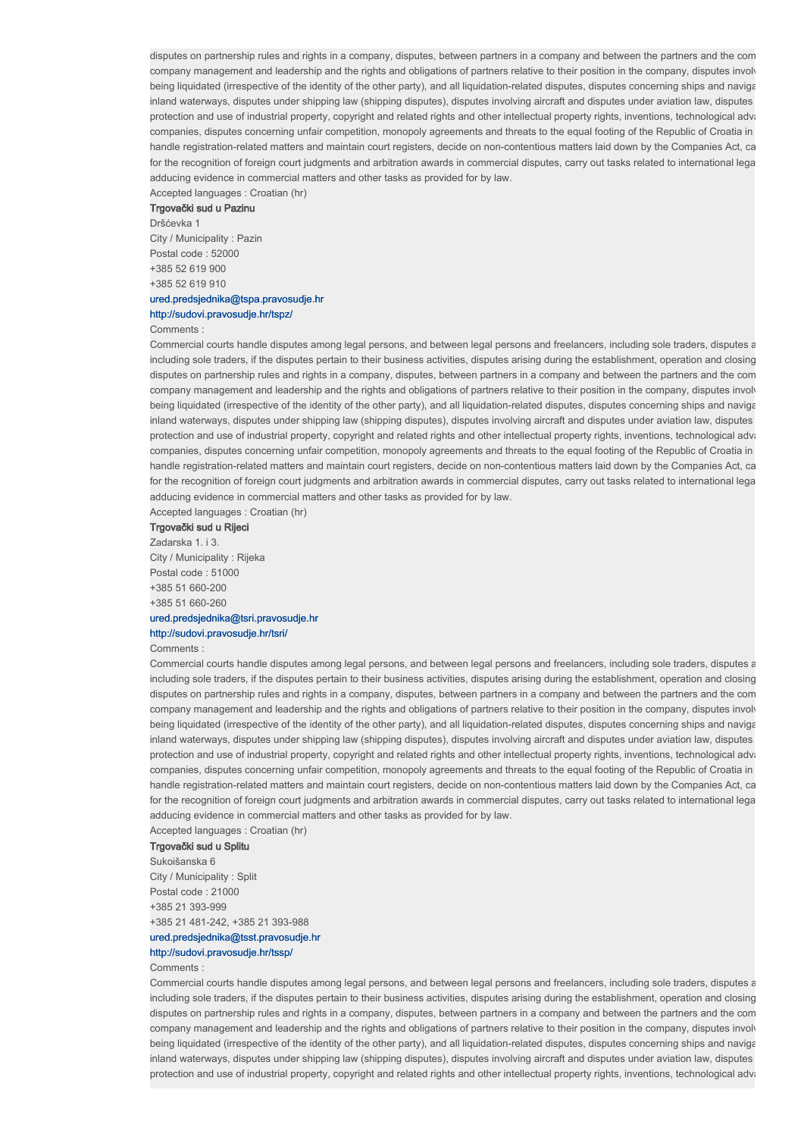disputes on partnership rules and rights in a company, disputes, between partners in a company and between the partners and the com company management and leadership and the rights and obligations of partners relative to their position in the company, disputes involving being liquidated (irrespective of the identity of the other party), and all liquidation-related disputes, disputes concerning ships and navigation. inland waterways, disputes under shipping law (shipping disputes), disputes involving aircraft and disputes under aviation law, disputes protection and use of industrial property, copyright and related rights and other intellectual property rights, inventions, technological advancements and variations and variance mental and variance mental and variance men companies, disputes concerning unfair competition, monopoly agreements and threats to the equal footing of the Republic of Croatia in handle registration-related matters and maintain court registers, decide on non-contentious matters laid down by the Companies Act, ca for the recognition of foreign court judgments and arbitration awards in commercial disputes, carry out tasks related to international legal adducing evidence in commercial matters and other tasks as provided for by law.

# Accepted languages : Croatian (hr)

#### Trgovački sud u Pazinu Dršćevka 1

City / Municipality : Pazin Postal code : 52000 +385 52 619 900 +385 52 619 910

# ured.predsjednika@tspa.pravosudje.hr

## http://sudovi.pravosudje.hr/tspz/

## Comments :

Commercial courts handle disputes among legal persons, and between legal persons and freelancers, including sole traders, disputes a including sole traders, if the disputes pertain to their business activities, disputes arising during the establishment, operation and closing disputes on partnership rules and rights in a company, disputes, between partners in a company and between the partners and the com company management and leadership and the rights and obligations of partners relative to their position in the company, disputes involv being liquidated (irrespective of the identity of the other party), and all liquidation-related disputes, disputes concerning ships and navigationinland waterways, disputes under shipping law (shipping disputes), disputes involving aircraft and disputes under aviation law, disputes protection and use of industrial property, copyright and related rights and other intellectual property rights, inventions, technological advi companies, disputes concerning unfair competition, monopoly agreements and threats to the equal footing of the Republic of Croatia in handle registration-related matters and maintain court registers, decide on non-contentious matters laid down by the Companies Act, ca for the recognition of foreign court judgments and arbitration awards in commercial disputes, carry out tasks related to international lega adducing evidence in commercial matters and other tasks as provided for by law.

Accepted languages : Croatian (hr)

# Trgovački sud u Rijeci

Zadarska 1. i 3. City / Municipality : Rijeka Postal code : 51000 +385 51 660-200 +385 51 660-260 ured.predsjednika@tsri.pravosudje.hr

# http://sudovi.pravosudje.hr/tsri/

## Comments :

Commercial courts handle disputes among legal persons, and between legal persons and freelancers, including sole traders, disputes a including sole traders, if the disputes pertain to their business activities, disputes arising during the establishment, operation and closing disputes on partnership rules and rights in a company, disputes, between partners in a company and between the partners and the com company management and leadership and the rights and obligations of partners relative to their position in the company, disputes involving being liquidated (irrespective of the identity of the other party), and all liquidation-related disputes, disputes concerning ships and navigationinland waterways, disputes under shipping law (shipping disputes), disputes involving aircraft and disputes under aviation law, disputes protection and use of industrial property, copyright and related rights and other intellectual property rights, inventions, technological advancements and vanishing and vanishing and vanishing and vanishing and vanishing a companies, disputes concerning unfair competition, monopoly agreements and threats to the equal footing of the Republic of Croatia in handle registration-related matters and maintain court registers, decide on non-contentious matters laid down by the Companies Act, ca for the recognition of foreign court judgments and arbitration awards in commercial disputes, carry out tasks related to international legal adducing evidence in commercial matters and other tasks as provided for by law.

Accepted languages : Croatian (hr)

## Trgovački sud u Splitu

Sukoišanska 6 City / Municipality : Split Postal code : 21000 +385 21 393-999 +385 21 481-242, +385 21 393-988

# ured.predsjednika@tsst.pravosudje.hr

# http://sudovi.pravosudje.hr/tssp/

### Comments :

Commercial courts handle disputes among legal persons, and between legal persons and freelancers, including sole traders, disputes a including sole traders, if the disputes pertain to their business activities, disputes arising during the establishment, operation and closing disputes on partnership rules and rights in a company, disputes, between partners in a company and between the partners and the com company management and leadership and the rights and obligations of partners relative to their position in the company, disputes involving being liquidated (irrespective of the identity of the other party), and all liquidation-related disputes, disputes concerning ships and navigationinland waterways, disputes under shipping law (shipping disputes), disputes involving aircraft and disputes under aviation law, disputes protection and use of industrial property, copyright and related rights and other intellectual property rights, inventions, technological advi